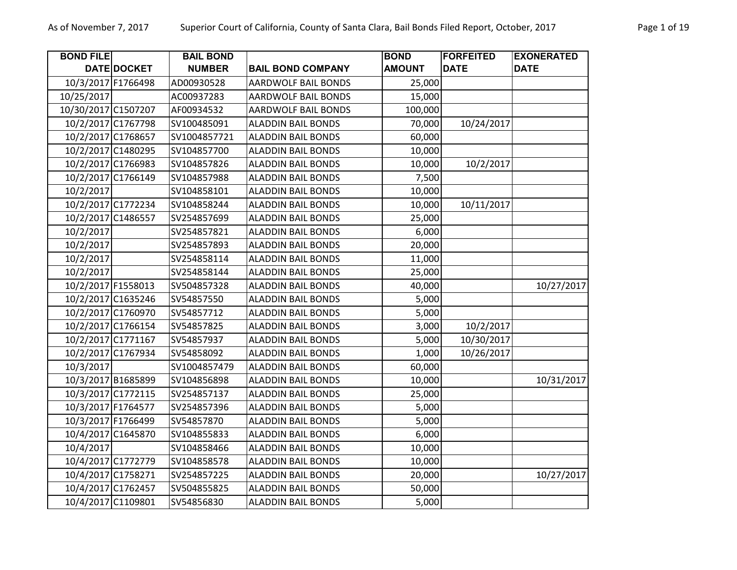| <b>BOND FILE</b>    |                    | <b>BAIL BOND</b> |                            | <b>BOND</b>   | <b>FORFEITED</b> | <b>EXONERATED</b> |
|---------------------|--------------------|------------------|----------------------------|---------------|------------------|-------------------|
|                     | DATE DOCKET        | <b>NUMBER</b>    | <b>BAIL BOND COMPANY</b>   | <b>AMOUNT</b> | <b>DATE</b>      | <b>DATE</b>       |
| 10/3/2017 F1766498  |                    | AD00930528       | <b>AARDWOLF BAIL BONDS</b> | 25,000        |                  |                   |
| 10/25/2017          |                    | AC00937283       | AARDWOLF BAIL BONDS        | 15,000        |                  |                   |
| 10/30/2017 C1507207 |                    | AF00934532       | <b>AARDWOLF BAIL BONDS</b> | 100,000       |                  |                   |
| 10/2/2017 C1767798  |                    | SV100485091      | <b>ALADDIN BAIL BONDS</b>  | 70,000        | 10/24/2017       |                   |
| 10/2/2017 C1768657  |                    | SV1004857721     | <b>ALADDIN BAIL BONDS</b>  | 60,000        |                  |                   |
|                     | 10/2/2017 C1480295 | SV104857700      | <b>ALADDIN BAIL BONDS</b>  | 10,000        |                  |                   |
|                     | 10/2/2017 C1766983 | SV104857826      | <b>ALADDIN BAIL BONDS</b>  | 10,000        | 10/2/2017        |                   |
| 10/2/2017 C1766149  |                    | SV104857988      | <b>ALADDIN BAIL BONDS</b>  | 7,500         |                  |                   |
| 10/2/2017           |                    | SV104858101      | <b>ALADDIN BAIL BONDS</b>  | 10,000        |                  |                   |
|                     | 10/2/2017 C1772234 | SV104858244      | <b>ALADDIN BAIL BONDS</b>  | 10,000        | 10/11/2017       |                   |
| 10/2/2017 C1486557  |                    | SV254857699      | <b>ALADDIN BAIL BONDS</b>  | 25,000        |                  |                   |
| 10/2/2017           |                    | SV254857821      | <b>ALADDIN BAIL BONDS</b>  | 6,000         |                  |                   |
| 10/2/2017           |                    | SV254857893      | <b>ALADDIN BAIL BONDS</b>  | 20,000        |                  |                   |
| 10/2/2017           |                    | SV254858114      | <b>ALADDIN BAIL BONDS</b>  | 11,000        |                  |                   |
| 10/2/2017           |                    | SV254858144      | <b>ALADDIN BAIL BONDS</b>  | 25,000        |                  |                   |
| 10/2/2017 F1558013  |                    | SV504857328      | <b>ALADDIN BAIL BONDS</b>  | 40,000        |                  | 10/27/2017        |
|                     | 10/2/2017 C1635246 | SV54857550       | <b>ALADDIN BAIL BONDS</b>  | 5,000         |                  |                   |
|                     | 10/2/2017 C1760970 | SV54857712       | <b>ALADDIN BAIL BONDS</b>  | 5,000         |                  |                   |
|                     | 10/2/2017 C1766154 | SV54857825       | <b>ALADDIN BAIL BONDS</b>  | 3,000         | 10/2/2017        |                   |
| 10/2/2017 C1771167  |                    | SV54857937       | <b>ALADDIN BAIL BONDS</b>  | 5,000         | 10/30/2017       |                   |
|                     | 10/2/2017 C1767934 | SV54858092       | <b>ALADDIN BAIL BONDS</b>  | 1,000         | 10/26/2017       |                   |
| 10/3/2017           |                    | SV1004857479     | <b>ALADDIN BAIL BONDS</b>  | 60,000        |                  |                   |
| 10/3/2017 B1685899  |                    | SV104856898      | <b>ALADDIN BAIL BONDS</b>  | 10,000        |                  | 10/31/2017        |
| 10/3/2017 C1772115  |                    | SV254857137      | <b>ALADDIN BAIL BONDS</b>  | 25,000        |                  |                   |
| 10/3/2017 F1764577  |                    | SV254857396      | <b>ALADDIN BAIL BONDS</b>  | 5,000         |                  |                   |
| 10/3/2017 F1766499  |                    | SV54857870       | <b>ALADDIN BAIL BONDS</b>  | 5,000         |                  |                   |
| 10/4/2017 C1645870  |                    | SV104855833      | <b>ALADDIN BAIL BONDS</b>  | 6,000         |                  |                   |
| 10/4/2017           |                    | SV104858466      | <b>ALADDIN BAIL BONDS</b>  | 10,000        |                  |                   |
| 10/4/2017 C1772779  |                    | SV104858578      | <b>ALADDIN BAIL BONDS</b>  | 10,000        |                  |                   |
| 10/4/2017 C1758271  |                    | SV254857225      | <b>ALADDIN BAIL BONDS</b>  | 20,000        |                  | 10/27/2017        |
| 10/4/2017 C1762457  |                    | SV504855825      | <b>ALADDIN BAIL BONDS</b>  | 50,000        |                  |                   |
| 10/4/2017 C1109801  |                    | SV54856830       | <b>ALADDIN BAIL BONDS</b>  | 5,000         |                  |                   |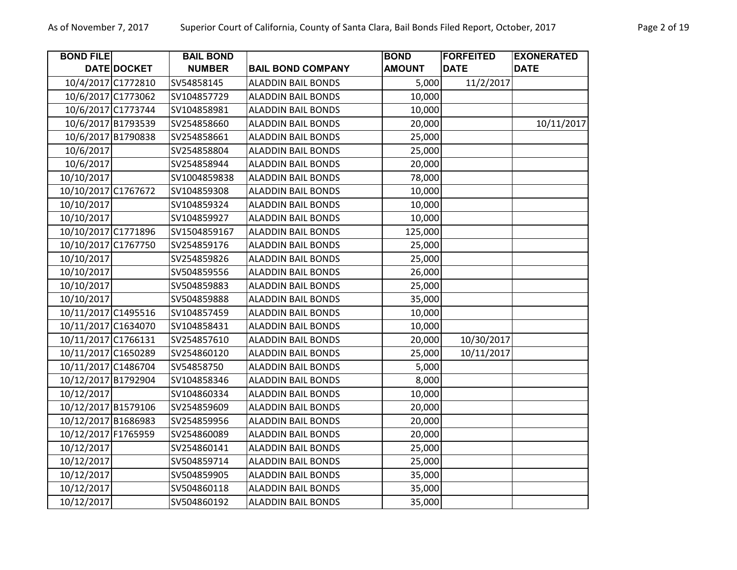| Page 2 of 19 |  |  |
|--------------|--|--|
|              |  |  |

| <b>BOND FILE</b>    |             | <b>BAIL BOND</b> |                           | <b>BOND</b>   | <b>FORFEITED</b> | <b>EXONERATED</b> |
|---------------------|-------------|------------------|---------------------------|---------------|------------------|-------------------|
|                     | DATE DOCKET | <b>NUMBER</b>    | <b>BAIL BOND COMPANY</b>  | <b>AMOUNT</b> | <b>DATE</b>      | <b>DATE</b>       |
| 10/4/2017 C1772810  |             | SV54858145       | <b>ALADDIN BAIL BONDS</b> | 5,000         | 11/2/2017        |                   |
| 10/6/2017 C1773062  |             | SV104857729      | <b>ALADDIN BAIL BONDS</b> | 10,000        |                  |                   |
| 10/6/2017 C1773744  |             | SV104858981      | <b>ALADDIN BAIL BONDS</b> | 10,000        |                  |                   |
| 10/6/2017 B1793539  |             | SV254858660      | <b>ALADDIN BAIL BONDS</b> | 20,000        |                  | 10/11/2017        |
| 10/6/2017 B1790838  |             | SV254858661      | <b>ALADDIN BAIL BONDS</b> | 25,000        |                  |                   |
| 10/6/2017           |             | SV254858804      | <b>ALADDIN BAIL BONDS</b> | 25,000        |                  |                   |
| 10/6/2017           |             | SV254858944      | <b>ALADDIN BAIL BONDS</b> | 20,000        |                  |                   |
| 10/10/2017          |             | SV1004859838     | <b>ALADDIN BAIL BONDS</b> | 78,000        |                  |                   |
| 10/10/2017 C1767672 |             | SV104859308      | <b>ALADDIN BAIL BONDS</b> | 10,000        |                  |                   |
| 10/10/2017          |             | SV104859324      | <b>ALADDIN BAIL BONDS</b> | 10,000        |                  |                   |
| 10/10/2017          |             | SV104859927      | <b>ALADDIN BAIL BONDS</b> | 10,000        |                  |                   |
| 10/10/2017 C1771896 |             | SV1504859167     | <b>ALADDIN BAIL BONDS</b> | 125,000       |                  |                   |
| 10/10/2017 C1767750 |             | SV254859176      | <b>ALADDIN BAIL BONDS</b> | 25,000        |                  |                   |
| 10/10/2017          |             | SV254859826      | <b>ALADDIN BAIL BONDS</b> | 25,000        |                  |                   |
| 10/10/2017          |             | SV504859556      | <b>ALADDIN BAIL BONDS</b> | 26,000        |                  |                   |
| 10/10/2017          |             | SV504859883      | <b>ALADDIN BAIL BONDS</b> | 25,000        |                  |                   |
| 10/10/2017          |             | SV504859888      | <b>ALADDIN BAIL BONDS</b> | 35,000        |                  |                   |
| 10/11/2017 C1495516 |             | SV104857459      | <b>ALADDIN BAIL BONDS</b> | 10,000        |                  |                   |
| 10/11/2017 C1634070 |             | SV104858431      | <b>ALADDIN BAIL BONDS</b> | 10,000        |                  |                   |
| 10/11/2017 C1766131 |             | SV254857610      | <b>ALADDIN BAIL BONDS</b> | 20,000        | 10/30/2017       |                   |
| 10/11/2017 C1650289 |             | SV254860120      | <b>ALADDIN BAIL BONDS</b> | 25,000        | 10/11/2017       |                   |
| 10/11/2017 C1486704 |             | SV54858750       | <b>ALADDIN BAIL BONDS</b> | 5,000         |                  |                   |
| 10/12/2017 B1792904 |             | SV104858346      | <b>ALADDIN BAIL BONDS</b> | 8,000         |                  |                   |
| 10/12/2017          |             | SV104860334      | <b>ALADDIN BAIL BONDS</b> | 10,000        |                  |                   |
| 10/12/2017 B1579106 |             | SV254859609      | <b>ALADDIN BAIL BONDS</b> | 20,000        |                  |                   |
| 10/12/2017 B1686983 |             | SV254859956      | <b>ALADDIN BAIL BONDS</b> | 20,000        |                  |                   |
| 10/12/2017 F1765959 |             | SV254860089      | <b>ALADDIN BAIL BONDS</b> | 20,000        |                  |                   |
| 10/12/2017          |             | SV254860141      | <b>ALADDIN BAIL BONDS</b> | 25,000        |                  |                   |
| 10/12/2017          |             | SV504859714      | <b>ALADDIN BAIL BONDS</b> | 25,000        |                  |                   |
| 10/12/2017          |             | SV504859905      | <b>ALADDIN BAIL BONDS</b> | 35,000        |                  |                   |
| 10/12/2017          |             | SV504860118      | <b>ALADDIN BAIL BONDS</b> | 35,000        |                  |                   |
| 10/12/2017          |             | SV504860192      | <b>ALADDIN BAIL BONDS</b> | 35,000        |                  |                   |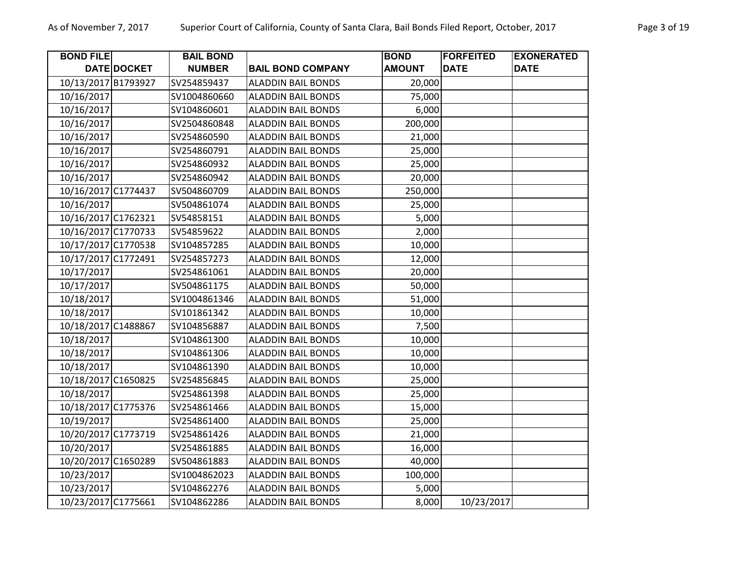| <b>BOND FILE</b>    |             | <b>BAIL BOND</b> |                           | <b>BOND</b>   | <b>FORFEITED</b> | <b>EXONERATED</b> |
|---------------------|-------------|------------------|---------------------------|---------------|------------------|-------------------|
|                     | DATE DOCKET | <b>NUMBER</b>    | <b>BAIL BOND COMPANY</b>  | <b>AMOUNT</b> | <b>DATE</b>      | <b>DATE</b>       |
| 10/13/2017 B1793927 |             | SV254859437      | <b>ALADDIN BAIL BONDS</b> | 20,000        |                  |                   |
| 10/16/2017          |             | SV1004860660     | <b>ALADDIN BAIL BONDS</b> | 75,000        |                  |                   |
| 10/16/2017          |             | SV104860601      | <b>ALADDIN BAIL BONDS</b> | 6,000         |                  |                   |
| 10/16/2017          |             | SV2504860848     | <b>ALADDIN BAIL BONDS</b> | 200,000       |                  |                   |
| 10/16/2017          |             | SV254860590      | <b>ALADDIN BAIL BONDS</b> | 21,000        |                  |                   |
| 10/16/2017          |             | SV254860791      | <b>ALADDIN BAIL BONDS</b> | 25,000        |                  |                   |
| 10/16/2017          |             | SV254860932      | <b>ALADDIN BAIL BONDS</b> | 25,000        |                  |                   |
| 10/16/2017          |             | SV254860942      | <b>ALADDIN BAIL BONDS</b> | 20,000        |                  |                   |
| 10/16/2017 C1774437 |             | SV504860709      | <b>ALADDIN BAIL BONDS</b> | 250,000       |                  |                   |
| 10/16/2017          |             | SV504861074      | <b>ALADDIN BAIL BONDS</b> | 25,000        |                  |                   |
| 10/16/2017 C1762321 |             | SV54858151       | <b>ALADDIN BAIL BONDS</b> | 5,000         |                  |                   |
| 10/16/2017 C1770733 |             | SV54859622       | <b>ALADDIN BAIL BONDS</b> | 2,000         |                  |                   |
| 10/17/2017 C1770538 |             | SV104857285      | <b>ALADDIN BAIL BONDS</b> | 10,000        |                  |                   |
| 10/17/2017 C1772491 |             | SV254857273      | <b>ALADDIN BAIL BONDS</b> | 12,000        |                  |                   |
| 10/17/2017          |             | SV254861061      | <b>ALADDIN BAIL BONDS</b> | 20,000        |                  |                   |
| 10/17/2017          |             | SV504861175      | <b>ALADDIN BAIL BONDS</b> | 50,000        |                  |                   |
| 10/18/2017          |             | SV1004861346     | <b>ALADDIN BAIL BONDS</b> | 51,000        |                  |                   |
| 10/18/2017          |             | SV101861342      | <b>ALADDIN BAIL BONDS</b> | 10,000        |                  |                   |
| 10/18/2017 C1488867 |             | SV104856887      | <b>ALADDIN BAIL BONDS</b> | 7,500         |                  |                   |
| 10/18/2017          |             | SV104861300      | <b>ALADDIN BAIL BONDS</b> | 10,000        |                  |                   |
| 10/18/2017          |             | SV104861306      | <b>ALADDIN BAIL BONDS</b> | 10,000        |                  |                   |
| 10/18/2017          |             | SV104861390      | <b>ALADDIN BAIL BONDS</b> | 10,000        |                  |                   |
| 10/18/2017 C1650825 |             | SV254856845      | <b>ALADDIN BAIL BONDS</b> | 25,000        |                  |                   |
| 10/18/2017          |             | SV254861398      | <b>ALADDIN BAIL BONDS</b> | 25,000        |                  |                   |
| 10/18/2017 C1775376 |             | SV254861466      | <b>ALADDIN BAIL BONDS</b> | 15,000        |                  |                   |
| 10/19/2017          |             | SV254861400      | <b>ALADDIN BAIL BONDS</b> | 25,000        |                  |                   |
| 10/20/2017 C1773719 |             | SV254861426      | <b>ALADDIN BAIL BONDS</b> | 21,000        |                  |                   |
| 10/20/2017          |             | SV254861885      | <b>ALADDIN BAIL BONDS</b> | 16,000        |                  |                   |
| 10/20/2017 C1650289 |             | SV504861883      | <b>ALADDIN BAIL BONDS</b> | 40,000        |                  |                   |
| 10/23/2017          |             | SV1004862023     | <b>ALADDIN BAIL BONDS</b> | 100,000       |                  |                   |
| 10/23/2017          |             | SV104862276      | <b>ALADDIN BAIL BONDS</b> | 5,000         |                  |                   |
| 10/23/2017 C1775661 |             | SV104862286      | <b>ALADDIN BAIL BONDS</b> | 8,000         | 10/23/2017       |                   |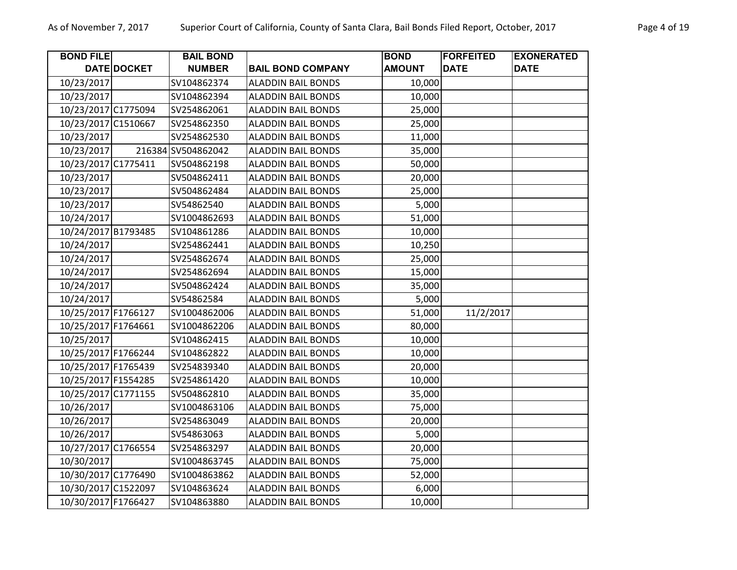| <b>BOND FILE</b>    |             | <b>BAIL BOND</b>   |                           | <b>BOND</b>   | <b>FORFEITED</b> | <b>EXONERATED</b> |
|---------------------|-------------|--------------------|---------------------------|---------------|------------------|-------------------|
|                     | DATE DOCKET | <b>NUMBER</b>      | <b>BAIL BOND COMPANY</b>  | <b>AMOUNT</b> | <b>DATE</b>      | <b>DATE</b>       |
| 10/23/2017          |             | SV104862374        | <b>ALADDIN BAIL BONDS</b> | 10,000        |                  |                   |
| 10/23/2017          |             | SV104862394        | <b>ALADDIN BAIL BONDS</b> | 10,000        |                  |                   |
| 10/23/2017 C1775094 |             | SV254862061        | <b>ALADDIN BAIL BONDS</b> | 25,000        |                  |                   |
| 10/23/2017 C1510667 |             | SV254862350        | <b>ALADDIN BAIL BONDS</b> | 25,000        |                  |                   |
| 10/23/2017          |             | SV254862530        | <b>ALADDIN BAIL BONDS</b> | 11,000        |                  |                   |
| 10/23/2017          |             | 216384 SV504862042 | <b>ALADDIN BAIL BONDS</b> | 35,000        |                  |                   |
| 10/23/2017 C1775411 |             | SV504862198        | <b>ALADDIN BAIL BONDS</b> | 50,000        |                  |                   |
| 10/23/2017          |             | SV504862411        | <b>ALADDIN BAIL BONDS</b> | 20,000        |                  |                   |
| 10/23/2017          |             | SV504862484        | <b>ALADDIN BAIL BONDS</b> | 25,000        |                  |                   |
| 10/23/2017          |             | SV54862540         | <b>ALADDIN BAIL BONDS</b> | 5,000         |                  |                   |
| 10/24/2017          |             | SV1004862693       | <b>ALADDIN BAIL BONDS</b> | 51,000        |                  |                   |
| 10/24/2017 B1793485 |             | SV104861286        | <b>ALADDIN BAIL BONDS</b> | 10,000        |                  |                   |
| 10/24/2017          |             | SV254862441        | <b>ALADDIN BAIL BONDS</b> | 10,250        |                  |                   |
| 10/24/2017          |             | SV254862674        | <b>ALADDIN BAIL BONDS</b> | 25,000        |                  |                   |
| 10/24/2017          |             | SV254862694        | <b>ALADDIN BAIL BONDS</b> | 15,000        |                  |                   |
| 10/24/2017          |             | SV504862424        | <b>ALADDIN BAIL BONDS</b> | 35,000        |                  |                   |
| 10/24/2017          |             | SV54862584         | <b>ALADDIN BAIL BONDS</b> | 5,000         |                  |                   |
| 10/25/2017 F1766127 |             | SV1004862006       | <b>ALADDIN BAIL BONDS</b> | 51,000        | 11/2/2017        |                   |
| 10/25/2017 F1764661 |             | SV1004862206       | <b>ALADDIN BAIL BONDS</b> | 80,000        |                  |                   |
| 10/25/2017          |             | SV104862415        | <b>ALADDIN BAIL BONDS</b> | 10,000        |                  |                   |
| 10/25/2017 F1766244 |             | SV104862822        | <b>ALADDIN BAIL BONDS</b> | 10,000        |                  |                   |
| 10/25/2017 F1765439 |             | SV254839340        | <b>ALADDIN BAIL BONDS</b> | 20,000        |                  |                   |
| 10/25/2017 F1554285 |             | SV254861420        | <b>ALADDIN BAIL BONDS</b> | 10,000        |                  |                   |
| 10/25/2017 C1771155 |             | SV504862810        | <b>ALADDIN BAIL BONDS</b> | 35,000        |                  |                   |
| 10/26/2017          |             | SV1004863106       | <b>ALADDIN BAIL BONDS</b> | 75,000        |                  |                   |
| 10/26/2017          |             | SV254863049        | <b>ALADDIN BAIL BONDS</b> | 20,000        |                  |                   |
| 10/26/2017          |             | SV54863063         | <b>ALADDIN BAIL BONDS</b> | 5,000         |                  |                   |
| 10/27/2017 C1766554 |             | SV254863297        | <b>ALADDIN BAIL BONDS</b> | 20,000        |                  |                   |
| 10/30/2017          |             | SV1004863745       | <b>ALADDIN BAIL BONDS</b> | 75,000        |                  |                   |
| 10/30/2017 C1776490 |             | SV1004863862       | <b>ALADDIN BAIL BONDS</b> | 52,000        |                  |                   |
| 10/30/2017 C1522097 |             | SV104863624        | <b>ALADDIN BAIL BONDS</b> | 6,000         |                  |                   |
| 10/30/2017 F1766427 |             | SV104863880        | <b>ALADDIN BAIL BONDS</b> | 10,000        |                  |                   |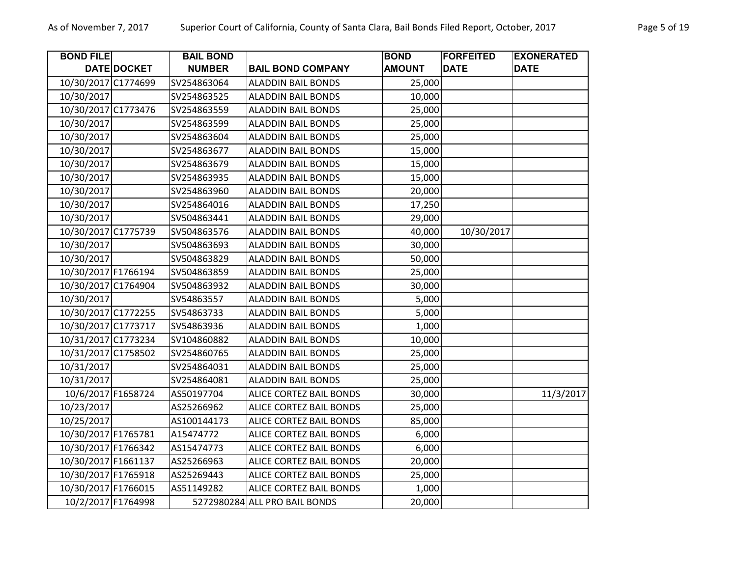| <b>BOND FILE</b>    |             | <b>BAIL BOND</b> |                               | <b>BOND</b>   | <b>FORFEITED</b> | <b>EXONERATED</b> |
|---------------------|-------------|------------------|-------------------------------|---------------|------------------|-------------------|
|                     | DATE DOCKET | <b>NUMBER</b>    | <b>BAIL BOND COMPANY</b>      | <b>AMOUNT</b> | <b>DATE</b>      | <b>DATE</b>       |
| 10/30/2017 C1774699 |             | SV254863064      | <b>ALADDIN BAIL BONDS</b>     | 25,000        |                  |                   |
| 10/30/2017          |             | SV254863525      | <b>ALADDIN BAIL BONDS</b>     | 10,000        |                  |                   |
| 10/30/2017 C1773476 |             | SV254863559      | <b>ALADDIN BAIL BONDS</b>     | 25,000        |                  |                   |
| 10/30/2017          |             | SV254863599      | <b>ALADDIN BAIL BONDS</b>     | 25,000        |                  |                   |
| 10/30/2017          |             | SV254863604      | <b>ALADDIN BAIL BONDS</b>     | 25,000        |                  |                   |
| 10/30/2017          |             | SV254863677      | <b>ALADDIN BAIL BONDS</b>     | 15,000        |                  |                   |
| 10/30/2017          |             | SV254863679      | <b>ALADDIN BAIL BONDS</b>     | 15,000        |                  |                   |
| 10/30/2017          |             | SV254863935      | <b>ALADDIN BAIL BONDS</b>     | 15,000        |                  |                   |
| 10/30/2017          |             | SV254863960      | <b>ALADDIN BAIL BONDS</b>     | 20,000        |                  |                   |
| 10/30/2017          |             | SV254864016      | <b>ALADDIN BAIL BONDS</b>     | 17,250        |                  |                   |
| 10/30/2017          |             | SV504863441      | <b>ALADDIN BAIL BONDS</b>     | 29,000        |                  |                   |
| 10/30/2017 C1775739 |             | SV504863576      | <b>ALADDIN BAIL BONDS</b>     | 40,000        | 10/30/2017       |                   |
| 10/30/2017          |             | SV504863693      | <b>ALADDIN BAIL BONDS</b>     | 30,000        |                  |                   |
| 10/30/2017          |             | SV504863829      | <b>ALADDIN BAIL BONDS</b>     | 50,000        |                  |                   |
| 10/30/2017 F1766194 |             | SV504863859      | <b>ALADDIN BAIL BONDS</b>     | 25,000        |                  |                   |
| 10/30/2017 C1764904 |             | SV504863932      | <b>ALADDIN BAIL BONDS</b>     | 30,000        |                  |                   |
| 10/30/2017          |             | SV54863557       | <b>ALADDIN BAIL BONDS</b>     | 5,000         |                  |                   |
| 10/30/2017 C1772255 |             | SV54863733       | <b>ALADDIN BAIL BONDS</b>     | 5,000         |                  |                   |
| 10/30/2017 C1773717 |             | SV54863936       | <b>ALADDIN BAIL BONDS</b>     | 1,000         |                  |                   |
| 10/31/2017 C1773234 |             | SV104860882      | <b>ALADDIN BAIL BONDS</b>     | 10,000        |                  |                   |
| 10/31/2017 C1758502 |             | SV254860765      | <b>ALADDIN BAIL BONDS</b>     | 25,000        |                  |                   |
| 10/31/2017          |             | SV254864031      | <b>ALADDIN BAIL BONDS</b>     | 25,000        |                  |                   |
| 10/31/2017          |             | SV254864081      | <b>ALADDIN BAIL BONDS</b>     | 25,000        |                  |                   |
| 10/6/2017 F1658724  |             | AS50197704       | ALICE CORTEZ BAIL BONDS       | 30,000        |                  | 11/3/2017         |
| 10/23/2017          |             | AS25266962       | ALICE CORTEZ BAIL BONDS       | 25,000        |                  |                   |
| 10/25/2017          |             | AS100144173      | ALICE CORTEZ BAIL BONDS       | 85,000        |                  |                   |
| 10/30/2017 F1765781 |             | A15474772        | ALICE CORTEZ BAIL BONDS       | 6,000         |                  |                   |
| 10/30/2017 F1766342 |             | AS15474773       | ALICE CORTEZ BAIL BONDS       | 6,000         |                  |                   |
| 10/30/2017 F1661137 |             | AS25266963       | ALICE CORTEZ BAIL BONDS       | 20,000        |                  |                   |
| 10/30/2017 F1765918 |             | AS25269443       | ALICE CORTEZ BAIL BONDS       | 25,000        |                  |                   |
| 10/30/2017 F1766015 |             | AS51149282       | ALICE CORTEZ BAIL BONDS       | 1,000         |                  |                   |
| 10/2/2017 F1764998  |             |                  | 5272980284 ALL PRO BAIL BONDS | 20,000        |                  |                   |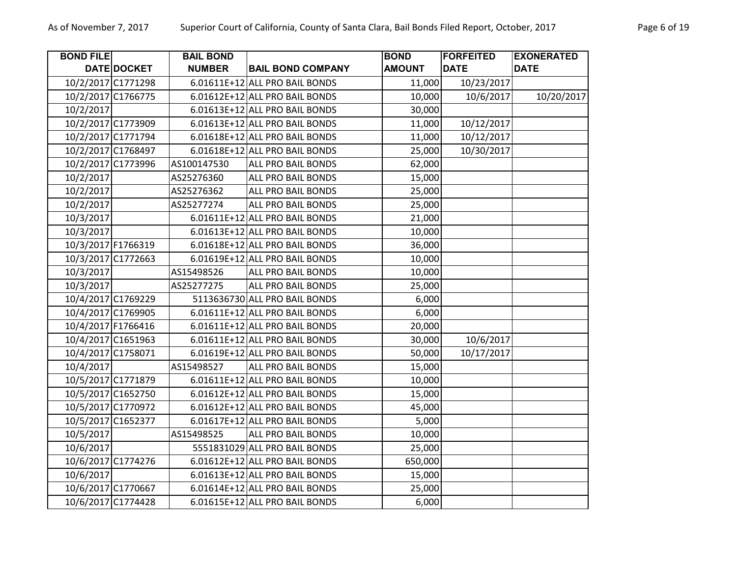| <b>BOND FILE</b>   |                    | <b>BAIL BOND</b> |                                | <b>BOND</b>   | <b>FORFEITED</b> | <b>EXONERATED</b> |
|--------------------|--------------------|------------------|--------------------------------|---------------|------------------|-------------------|
|                    | DATE DOCKET        | <b>NUMBER</b>    | <b>BAIL BOND COMPANY</b>       | <b>AMOUNT</b> | <b>DATE</b>      | <b>DATE</b>       |
|                    | 10/2/2017 C1771298 |                  | 6.01611E+12 ALL PRO BAIL BONDS | 11,000        | 10/23/2017       |                   |
|                    | 10/2/2017 C1766775 |                  | 6.01612E+12 ALL PRO BAIL BONDS | 10,000        | 10/6/2017        | 10/20/2017        |
| 10/2/2017          |                    |                  | 6.01613E+12 ALL PRO BAIL BONDS | 30,000        |                  |                   |
|                    | 10/2/2017 C1773909 |                  | 6.01613E+12 ALL PRO BAIL BONDS | 11,000        | 10/12/2017       |                   |
|                    | 10/2/2017 C1771794 |                  | 6.01618E+12 ALL PRO BAIL BONDS | 11,000        | 10/12/2017       |                   |
|                    | 10/2/2017 C1768497 |                  | 6.01618E+12 ALL PRO BAIL BONDS | 25,000        | 10/30/2017       |                   |
|                    | 10/2/2017 C1773996 | AS100147530      | <b>ALL PRO BAIL BONDS</b>      | 62,000        |                  |                   |
| 10/2/2017          |                    | AS25276360       | <b>ALL PRO BAIL BONDS</b>      | 15,000        |                  |                   |
| 10/2/2017          |                    | AS25276362       | ALL PRO BAIL BONDS             | 25,000        |                  |                   |
| 10/2/2017          |                    | AS25277274       | <b>ALL PRO BAIL BONDS</b>      | 25,000        |                  |                   |
| 10/3/2017          |                    |                  | 6.01611E+12 ALL PRO BAIL BONDS | 21,000        |                  |                   |
| 10/3/2017          |                    |                  | 6.01613E+12 ALL PRO BAIL BONDS | 10,000        |                  |                   |
|                    | 10/3/2017 F1766319 |                  | 6.01618E+12 ALL PRO BAIL BONDS | 36,000        |                  |                   |
|                    | 10/3/2017 C1772663 |                  | 6.01619E+12 ALL PRO BAIL BONDS | 10,000        |                  |                   |
| 10/3/2017          |                    | AS15498526       | <b>ALL PRO BAIL BONDS</b>      | 10,000        |                  |                   |
| 10/3/2017          |                    | AS25277275       | <b>ALL PRO BAIL BONDS</b>      | 25,000        |                  |                   |
|                    | 10/4/2017 C1769229 |                  | 5113636730 ALL PRO BAIL BONDS  | 6,000         |                  |                   |
|                    | 10/4/2017 C1769905 |                  | 6.01611E+12 ALL PRO BAIL BONDS | 6,000         |                  |                   |
| 10/4/2017 F1766416 |                    |                  | 6.01611E+12 ALL PRO BAIL BONDS | 20,000        |                  |                   |
|                    | 10/4/2017 C1651963 |                  | 6.01611E+12 ALL PRO BAIL BONDS | 30,000        | 10/6/2017        |                   |
|                    | 10/4/2017 C1758071 |                  | 6.01619E+12 ALL PRO BAIL BONDS | 50,000        | 10/17/2017       |                   |
| 10/4/2017          |                    | AS15498527       | <b>ALL PRO BAIL BONDS</b>      | 15,000        |                  |                   |
|                    | 10/5/2017 C1771879 |                  | 6.01611E+12 ALL PRO BAIL BONDS | 10,000        |                  |                   |
|                    | 10/5/2017 C1652750 |                  | 6.01612E+12 ALL PRO BAIL BONDS | 15,000        |                  |                   |
|                    | 10/5/2017 C1770972 |                  | 6.01612E+12 ALL PRO BAIL BONDS | 45,000        |                  |                   |
|                    | 10/5/2017 C1652377 |                  | 6.01617E+12 ALL PRO BAIL BONDS | 5,000         |                  |                   |
| 10/5/2017          |                    | AS15498525       | <b>ALL PRO BAIL BONDS</b>      | 10,000        |                  |                   |
| 10/6/2017          |                    |                  | 5551831029 ALL PRO BAIL BONDS  | 25,000        |                  |                   |
|                    | 10/6/2017 C1774276 |                  | 6.01612E+12 ALL PRO BAIL BONDS | 650,000       |                  |                   |
| 10/6/2017          |                    |                  | 6.01613E+12 ALL PRO BAIL BONDS | 15,000        |                  |                   |
|                    | 10/6/2017 C1770667 |                  | 6.01614E+12 ALL PRO BAIL BONDS | 25,000        |                  |                   |
|                    | 10/6/2017 C1774428 |                  | 6.01615E+12 ALL PRO BAIL BONDS | 6,000         |                  |                   |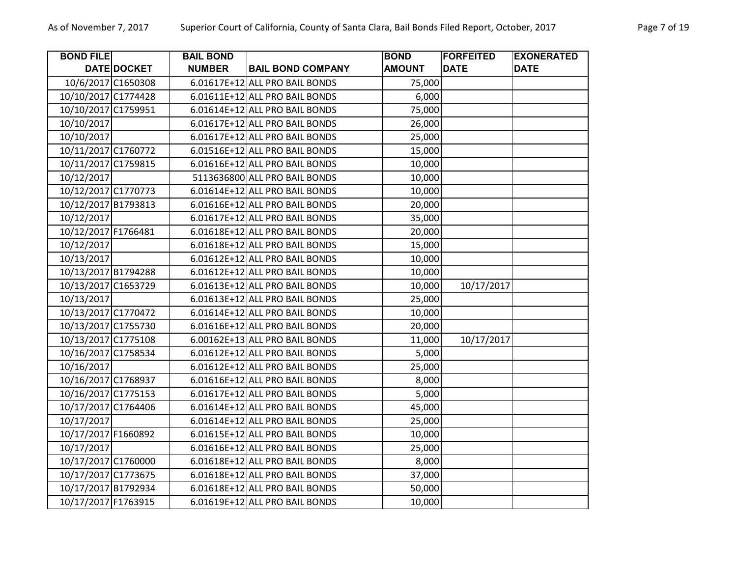| <b>BOND FILE</b>    |                    | <b>BAIL BOND</b> |                                | <b>BOND</b>   | <b>FORFEITED</b> | <b>EXONERATED</b> |
|---------------------|--------------------|------------------|--------------------------------|---------------|------------------|-------------------|
|                     | <b>DATE DOCKET</b> | <b>NUMBER</b>    | <b>BAIL BOND COMPANY</b>       | <b>AMOUNT</b> | <b>DATE</b>      | <b>DATE</b>       |
| 10/6/2017 C1650308  |                    |                  | 6.01617E+12 ALL PRO BAIL BONDS | 75,000        |                  |                   |
| 10/10/2017 C1774428 |                    |                  | 6.01611E+12 ALL PRO BAIL BONDS | 6,000         |                  |                   |
| 10/10/2017 C1759951 |                    |                  | 6.01614E+12 ALL PRO BAIL BONDS | 75,000        |                  |                   |
| 10/10/2017          |                    |                  | 6.01617E+12 ALL PRO BAIL BONDS | 26,000        |                  |                   |
| 10/10/2017          |                    |                  | 6.01617E+12 ALL PRO BAIL BONDS | 25,000        |                  |                   |
| 10/11/2017 C1760772 |                    |                  | 6.01516E+12 ALL PRO BAIL BONDS | 15,000        |                  |                   |
| 10/11/2017 C1759815 |                    |                  | 6.01616E+12 ALL PRO BAIL BONDS | 10,000        |                  |                   |
| 10/12/2017          |                    |                  | 5113636800 ALL PRO BAIL BONDS  | 10,000        |                  |                   |
| 10/12/2017 C1770773 |                    |                  | 6.01614E+12 ALL PRO BAIL BONDS | 10,000        |                  |                   |
| 10/12/2017 B1793813 |                    |                  | 6.01616E+12 ALL PRO BAIL BONDS | 20,000        |                  |                   |
| 10/12/2017          |                    |                  | 6.01617E+12 ALL PRO BAIL BONDS | 35,000        |                  |                   |
| 10/12/2017 F1766481 |                    |                  | 6.01618E+12 ALL PRO BAIL BONDS | 20,000        |                  |                   |
| 10/12/2017          |                    |                  | 6.01618E+12 ALL PRO BAIL BONDS | 15,000        |                  |                   |
| 10/13/2017          |                    |                  | 6.01612E+12 ALL PRO BAIL BONDS | 10,000        |                  |                   |
| 10/13/2017 B1794288 |                    |                  | 6.01612E+12 ALL PRO BAIL BONDS | 10,000        |                  |                   |
| 10/13/2017 C1653729 |                    |                  | 6.01613E+12 ALL PRO BAIL BONDS | 10,000        | 10/17/2017       |                   |
| 10/13/2017          |                    |                  | 6.01613E+12 ALL PRO BAIL BONDS | 25,000        |                  |                   |
| 10/13/2017 C1770472 |                    |                  | 6.01614E+12 ALL PRO BAIL BONDS | 10,000        |                  |                   |
| 10/13/2017 C1755730 |                    |                  | 6.01616E+12 ALL PRO BAIL BONDS | 20,000        |                  |                   |
| 10/13/2017 C1775108 |                    |                  | 6.00162E+13 ALL PRO BAIL BONDS | 11,000        | 10/17/2017       |                   |
| 10/16/2017 C1758534 |                    |                  | 6.01612E+12 ALL PRO BAIL BONDS | 5,000         |                  |                   |
| 10/16/2017          |                    |                  | 6.01612E+12 ALL PRO BAIL BONDS | 25,000        |                  |                   |
| 10/16/2017 C1768937 |                    |                  | 6.01616E+12 ALL PRO BAIL BONDS | 8,000         |                  |                   |
| 10/16/2017 C1775153 |                    |                  | 6.01617E+12 ALL PRO BAIL BONDS | 5,000         |                  |                   |
| 10/17/2017 C1764406 |                    |                  | 6.01614E+12 ALL PRO BAIL BONDS | 45,000        |                  |                   |
| 10/17/2017          |                    |                  | 6.01614E+12 ALL PRO BAIL BONDS | 25,000        |                  |                   |
| 10/17/2017 F1660892 |                    |                  | 6.01615E+12 ALL PRO BAIL BONDS | 10,000        |                  |                   |
| 10/17/2017          |                    |                  | 6.01616E+12 ALL PRO BAIL BONDS | 25,000        |                  |                   |
| 10/17/2017 C1760000 |                    |                  | 6.01618E+12 ALL PRO BAIL BONDS | 8,000         |                  |                   |
| 10/17/2017 C1773675 |                    |                  | 6.01618E+12 ALL PRO BAIL BONDS | 37,000        |                  |                   |
| 10/17/2017 B1792934 |                    |                  | 6.01618E+12 ALL PRO BAIL BONDS | 50,000        |                  |                   |
| 10/17/2017 F1763915 |                    |                  | 6.01619E+12 ALL PRO BAIL BONDS | 10,000        |                  |                   |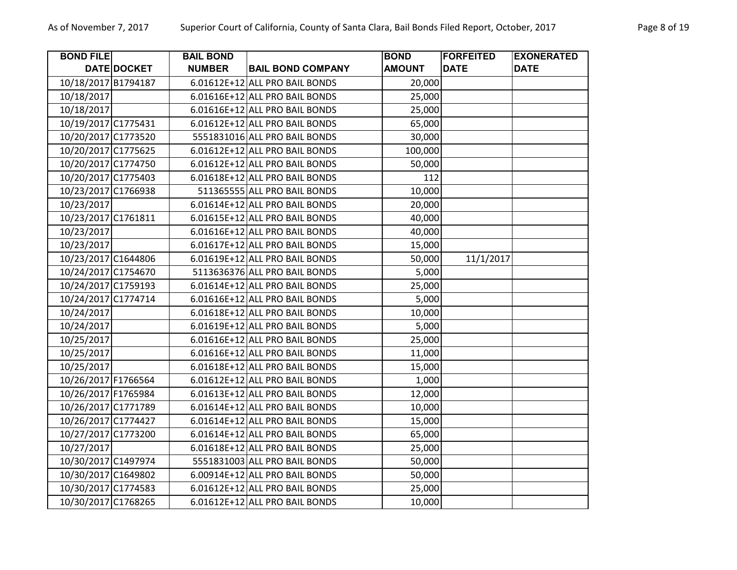| <b>BOND FILE</b>    |                    | <b>BAIL BOND</b> |                                | <b>BOND</b>   | <b>FORFEITED</b> | <b>EXONERATED</b> |
|---------------------|--------------------|------------------|--------------------------------|---------------|------------------|-------------------|
|                     | <b>DATE DOCKET</b> | <b>NUMBER</b>    | <b>BAIL BOND COMPANY</b>       | <b>AMOUNT</b> | <b>DATE</b>      | <b>DATE</b>       |
| 10/18/2017 B1794187 |                    |                  | 6.01612E+12 ALL PRO BAIL BONDS | 20,000        |                  |                   |
| 10/18/2017          |                    |                  | 6.01616E+12 ALL PRO BAIL BONDS | 25,000        |                  |                   |
| 10/18/2017          |                    |                  | 6.01616E+12 ALL PRO BAIL BONDS | 25,000        |                  |                   |
| 10/19/2017 C1775431 |                    |                  | 6.01612E+12 ALL PRO BAIL BONDS | 65,000        |                  |                   |
| 10/20/2017 C1773520 |                    |                  | 5551831016 ALL PRO BAIL BONDS  | 30,000        |                  |                   |
| 10/20/2017 C1775625 |                    |                  | 6.01612E+12 ALL PRO BAIL BONDS | 100,000       |                  |                   |
| 10/20/2017 C1774750 |                    |                  | 6.01612E+12 ALL PRO BAIL BONDS | 50,000        |                  |                   |
| 10/20/2017 C1775403 |                    |                  | 6.01618E+12 ALL PRO BAIL BONDS | 112           |                  |                   |
| 10/23/2017 C1766938 |                    |                  | 511365555 ALL PRO BAIL BONDS   | 10,000        |                  |                   |
| 10/23/2017          |                    |                  | 6.01614E+12 ALL PRO BAIL BONDS | 20,000        |                  |                   |
| 10/23/2017 C1761811 |                    |                  | 6.01615E+12 ALL PRO BAIL BONDS | 40,000        |                  |                   |
| 10/23/2017          |                    |                  | 6.01616E+12 ALL PRO BAIL BONDS | 40,000        |                  |                   |
| 10/23/2017          |                    |                  | 6.01617E+12 ALL PRO BAIL BONDS | 15,000        |                  |                   |
| 10/23/2017 C1644806 |                    |                  | 6.01619E+12 ALL PRO BAIL BONDS | 50,000        | 11/1/2017        |                   |
| 10/24/2017 C1754670 |                    |                  | 5113636376 ALL PRO BAIL BONDS  | 5,000         |                  |                   |
| 10/24/2017 C1759193 |                    |                  | 6.01614E+12 ALL PRO BAIL BONDS | 25,000        |                  |                   |
| 10/24/2017 C1774714 |                    |                  | 6.01616E+12 ALL PRO BAIL BONDS | 5,000         |                  |                   |
| 10/24/2017          |                    |                  | 6.01618E+12 ALL PRO BAIL BONDS | 10,000        |                  |                   |
| 10/24/2017          |                    |                  | 6.01619E+12 ALL PRO BAIL BONDS | 5,000         |                  |                   |
| 10/25/2017          |                    |                  | 6.01616E+12 ALL PRO BAIL BONDS | 25,000        |                  |                   |
| 10/25/2017          |                    |                  | 6.01616E+12 ALL PRO BAIL BONDS | 11,000        |                  |                   |
| 10/25/2017          |                    |                  | 6.01618E+12 ALL PRO BAIL BONDS | 15,000        |                  |                   |
| 10/26/2017 F1766564 |                    |                  | 6.01612E+12 ALL PRO BAIL BONDS | 1,000         |                  |                   |
| 10/26/2017 F1765984 |                    |                  | 6.01613E+12 ALL PRO BAIL BONDS | 12,000        |                  |                   |
| 10/26/2017 C1771789 |                    |                  | 6.01614E+12 ALL PRO BAIL BONDS | 10,000        |                  |                   |
| 10/26/2017 C1774427 |                    |                  | 6.01614E+12 ALL PRO BAIL BONDS | 15,000        |                  |                   |
| 10/27/2017 C1773200 |                    |                  | 6.01614E+12 ALL PRO BAIL BONDS | 65,000        |                  |                   |
| 10/27/2017          |                    |                  | 6.01618E+12 ALL PRO BAIL BONDS | 25,000        |                  |                   |
| 10/30/2017 C1497974 |                    |                  | 5551831003 ALL PRO BAIL BONDS  | 50,000        |                  |                   |
| 10/30/2017 C1649802 |                    |                  | 6.00914E+12 ALL PRO BAIL BONDS | 50,000        |                  |                   |
| 10/30/2017 C1774583 |                    |                  | 6.01612E+12 ALL PRO BAIL BONDS | 25,000        |                  |                   |
| 10/30/2017 C1768265 |                    |                  | 6.01612E+12 ALL PRO BAIL BONDS | 10,000        |                  |                   |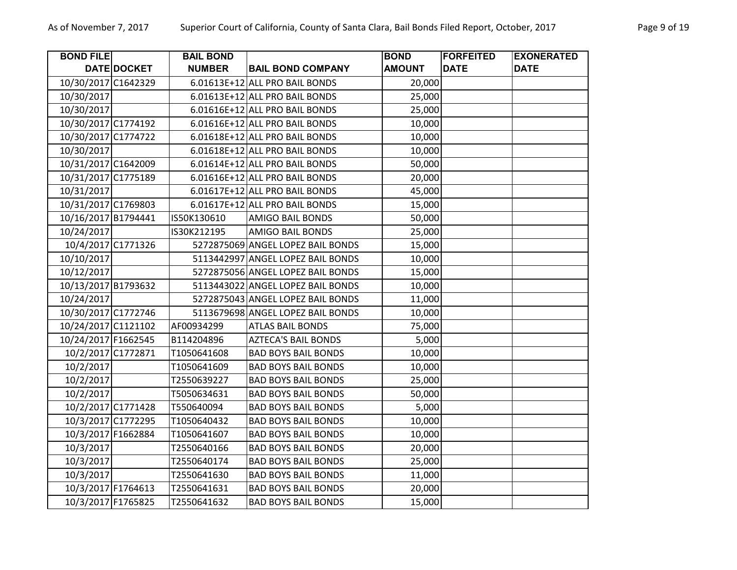| <b>BOND FILE</b>    |                    | <b>BAIL BOND</b> |                                   | <b>BOND</b>   | <b>FORFEITED</b> | <b>EXONERATED</b> |
|---------------------|--------------------|------------------|-----------------------------------|---------------|------------------|-------------------|
|                     | DATE DOCKET        | <b>NUMBER</b>    | <b>BAIL BOND COMPANY</b>          | <b>AMOUNT</b> | <b>DATE</b>      | <b>DATE</b>       |
| 10/30/2017 C1642329 |                    |                  | 6.01613E+12 ALL PRO BAIL BONDS    | 20,000        |                  |                   |
| 10/30/2017          |                    |                  | 6.01613E+12 ALL PRO BAIL BONDS    | 25,000        |                  |                   |
| 10/30/2017          |                    |                  | 6.01616E+12 ALL PRO BAIL BONDS    | 25,000        |                  |                   |
| 10/30/2017 C1774192 |                    |                  | 6.01616E+12 ALL PRO BAIL BONDS    | 10,000        |                  |                   |
| 10/30/2017 C1774722 |                    |                  | 6.01618E+12 ALL PRO BAIL BONDS    | 10,000        |                  |                   |
| 10/30/2017          |                    |                  | 6.01618E+12 ALL PRO BAIL BONDS    | 10,000        |                  |                   |
| 10/31/2017 C1642009 |                    |                  | 6.01614E+12 ALL PRO BAIL BONDS    | 50,000        |                  |                   |
| 10/31/2017 C1775189 |                    |                  | 6.01616E+12 ALL PRO BAIL BONDS    | 20,000        |                  |                   |
| 10/31/2017          |                    |                  | 6.01617E+12 ALL PRO BAIL BONDS    | 45,000        |                  |                   |
| 10/31/2017 C1769803 |                    |                  | 6.01617E+12 ALL PRO BAIL BONDS    | 15,000        |                  |                   |
| 10/16/2017 B1794441 |                    | IS50K130610      | <b>AMIGO BAIL BONDS</b>           | 50,000        |                  |                   |
| 10/24/2017          |                    | IS30K212195      | <b>AMIGO BAIL BONDS</b>           | 25,000        |                  |                   |
| 10/4/2017 C1771326  |                    |                  | 5272875069 ANGEL LOPEZ BAIL BONDS | 15,000        |                  |                   |
| 10/10/2017          |                    |                  | 5113442997 ANGEL LOPEZ BAIL BONDS | 10,000        |                  |                   |
| 10/12/2017          |                    |                  | 5272875056 ANGEL LOPEZ BAIL BONDS | 15,000        |                  |                   |
| 10/13/2017 B1793632 |                    |                  | 5113443022 ANGEL LOPEZ BAIL BONDS | 10,000        |                  |                   |
| 10/24/2017          |                    |                  | 5272875043 ANGEL LOPEZ BAIL BONDS | 11,000        |                  |                   |
| 10/30/2017 C1772746 |                    |                  | 5113679698 ANGEL LOPEZ BAIL BONDS | 10,000        |                  |                   |
| 10/24/2017 C1121102 |                    | AF00934299       | <b>ATLAS BAIL BONDS</b>           | 75,000        |                  |                   |
| 10/24/2017 F1662545 |                    | B114204896       | <b>AZTECA'S BAIL BONDS</b>        | 5,000         |                  |                   |
| 10/2/2017 C1772871  |                    | T1050641608      | <b>BAD BOYS BAIL BONDS</b>        | 10,000        |                  |                   |
| 10/2/2017           |                    | T1050641609      | <b>BAD BOYS BAIL BONDS</b>        | 10,000        |                  |                   |
| 10/2/2017           |                    | T2550639227      | <b>BAD BOYS BAIL BONDS</b>        | 25,000        |                  |                   |
| 10/2/2017           |                    | T5050634631      | <b>BAD BOYS BAIL BONDS</b>        | 50,000        |                  |                   |
|                     | 10/2/2017 C1771428 | T550640094       | <b>BAD BOYS BAIL BONDS</b>        | 5,000         |                  |                   |
|                     | 10/3/2017 C1772295 | T1050640432      | <b>BAD BOYS BAIL BONDS</b>        | 10,000        |                  |                   |
| 10/3/2017 F1662884  |                    | T1050641607      | <b>BAD BOYS BAIL BONDS</b>        | 10,000        |                  |                   |
| 10/3/2017           |                    | T2550640166      | <b>BAD BOYS BAIL BONDS</b>        | 20,000        |                  |                   |
| 10/3/2017           |                    | T2550640174      | <b>BAD BOYS BAIL BONDS</b>        | 25,000        |                  |                   |
| 10/3/2017           |                    | T2550641630      | <b>BAD BOYS BAIL BONDS</b>        | 11,000        |                  |                   |
| 10/3/2017 F1764613  |                    | T2550641631      | <b>BAD BOYS BAIL BONDS</b>        | 20,000        |                  |                   |
| 10/3/2017 F1765825  |                    | T2550641632      | <b>BAD BOYS BAIL BONDS</b>        | 15,000        |                  |                   |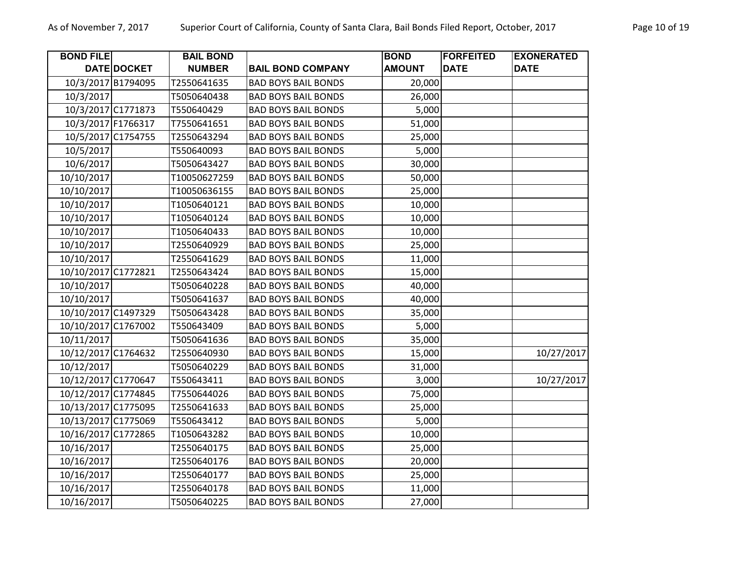| <b>BOND FILE</b>    |                    | <b>BAIL BOND</b> |                            | <b>BOND</b>   | <b>FORFEITED</b> | <b>EXONERATED</b> |
|---------------------|--------------------|------------------|----------------------------|---------------|------------------|-------------------|
|                     | DATE DOCKET        | <b>NUMBER</b>    | <b>BAIL BOND COMPANY</b>   | <b>AMOUNT</b> | <b>DATE</b>      | <b>DATE</b>       |
|                     | 10/3/2017 B1794095 | T2550641635      | <b>BAD BOYS BAIL BONDS</b> | 20,000        |                  |                   |
| 10/3/2017           |                    | T5050640438      | <b>BAD BOYS BAIL BONDS</b> | 26,000        |                  |                   |
|                     | 10/3/2017 C1771873 | T550640429       | <b>BAD BOYS BAIL BONDS</b> | 5,000         |                  |                   |
|                     | 10/3/2017 F1766317 | T7550641651      | <b>BAD BOYS BAIL BONDS</b> | 51,000        |                  |                   |
|                     | 10/5/2017 C1754755 | T2550643294      | <b>BAD BOYS BAIL BONDS</b> | 25,000        |                  |                   |
| 10/5/2017           |                    | T550640093       | <b>BAD BOYS BAIL BONDS</b> | 5,000         |                  |                   |
| 10/6/2017           |                    | T5050643427      | <b>BAD BOYS BAIL BONDS</b> | 30,000        |                  |                   |
| 10/10/2017          |                    | T10050627259     | <b>BAD BOYS BAIL BONDS</b> | 50,000        |                  |                   |
| 10/10/2017          |                    | T10050636155     | <b>BAD BOYS BAIL BONDS</b> | 25,000        |                  |                   |
| 10/10/2017          |                    | T1050640121      | <b>BAD BOYS BAIL BONDS</b> | 10,000        |                  |                   |
| 10/10/2017          |                    | T1050640124      | <b>BAD BOYS BAIL BONDS</b> | 10,000        |                  |                   |
| 10/10/2017          |                    | T1050640433      | <b>BAD BOYS BAIL BONDS</b> | 10,000        |                  |                   |
| 10/10/2017          |                    | T2550640929      | <b>BAD BOYS BAIL BONDS</b> | 25,000        |                  |                   |
| 10/10/2017          |                    | T2550641629      | <b>BAD BOYS BAIL BONDS</b> | 11,000        |                  |                   |
| 10/10/2017 C1772821 |                    | T2550643424      | <b>BAD BOYS BAIL BONDS</b> | 15,000        |                  |                   |
| 10/10/2017          |                    | T5050640228      | <b>BAD BOYS BAIL BONDS</b> | 40,000        |                  |                   |
| 10/10/2017          |                    | T5050641637      | <b>BAD BOYS BAIL BONDS</b> | 40,000        |                  |                   |
| 10/10/2017 C1497329 |                    | T5050643428      | <b>BAD BOYS BAIL BONDS</b> | 35,000        |                  |                   |
| 10/10/2017 C1767002 |                    | T550643409       | <b>BAD BOYS BAIL BONDS</b> | 5,000         |                  |                   |
| 10/11/2017          |                    | T5050641636      | <b>BAD BOYS BAIL BONDS</b> | 35,000        |                  |                   |
| 10/12/2017 C1764632 |                    | T2550640930      | <b>BAD BOYS BAIL BONDS</b> | 15,000        |                  | 10/27/2017        |
| 10/12/2017          |                    | T5050640229      | <b>BAD BOYS BAIL BONDS</b> | 31,000        |                  |                   |
| 10/12/2017 C1770647 |                    | T550643411       | <b>BAD BOYS BAIL BONDS</b> | 3,000         |                  | 10/27/2017        |
| 10/12/2017 C1774845 |                    | T7550644026      | <b>BAD BOYS BAIL BONDS</b> | 75,000        |                  |                   |
| 10/13/2017 C1775095 |                    | T2550641633      | <b>BAD BOYS BAIL BONDS</b> | 25,000        |                  |                   |
| 10/13/2017 C1775069 |                    | T550643412       | <b>BAD BOYS BAIL BONDS</b> | 5,000         |                  |                   |
| 10/16/2017 C1772865 |                    | T1050643282      | <b>BAD BOYS BAIL BONDS</b> | 10,000        |                  |                   |
| 10/16/2017          |                    | T2550640175      | <b>BAD BOYS BAIL BONDS</b> | 25,000        |                  |                   |
| 10/16/2017          |                    | T2550640176      | <b>BAD BOYS BAIL BONDS</b> | 20,000        |                  |                   |
| 10/16/2017          |                    | T2550640177      | <b>BAD BOYS BAIL BONDS</b> | 25,000        |                  |                   |
| 10/16/2017          |                    | T2550640178      | <b>BAD BOYS BAIL BONDS</b> | 11,000        |                  |                   |
| 10/16/2017          |                    | T5050640225      | <b>BAD BOYS BAIL BONDS</b> | 27,000        |                  |                   |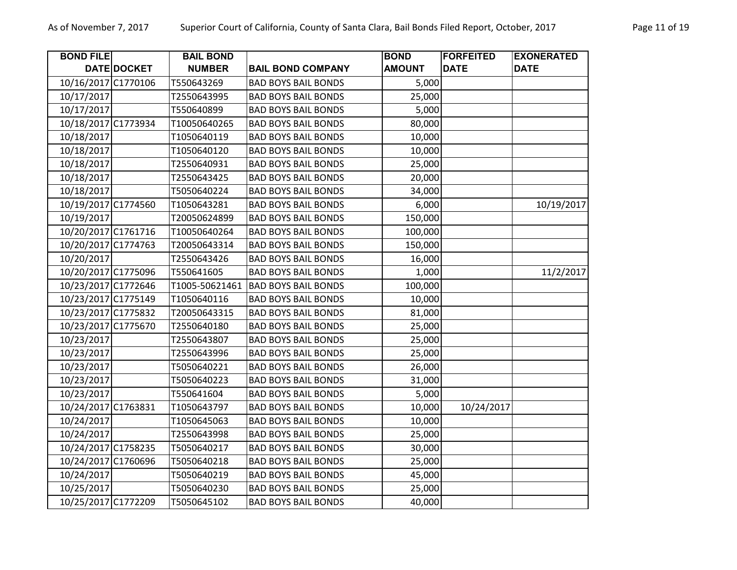| <b>BOND FILE</b>    |             | <b>BAIL BOND</b> |                            | <b>BOND</b>   | <b>FORFEITED</b> | <b>EXONERATED</b> |
|---------------------|-------------|------------------|----------------------------|---------------|------------------|-------------------|
|                     | DATE DOCKET | <b>NUMBER</b>    | <b>BAIL BOND COMPANY</b>   | <b>AMOUNT</b> | <b>DATE</b>      | <b>DATE</b>       |
| 10/16/2017 C1770106 |             | T550643269       | <b>BAD BOYS BAIL BONDS</b> | 5,000         |                  |                   |
| 10/17/2017          |             | T2550643995      | <b>BAD BOYS BAIL BONDS</b> | 25,000        |                  |                   |
| 10/17/2017          |             | T550640899       | <b>BAD BOYS BAIL BONDS</b> | 5,000         |                  |                   |
| 10/18/2017 C1773934 |             | T10050640265     | <b>BAD BOYS BAIL BONDS</b> | 80,000        |                  |                   |
| 10/18/2017          |             | T1050640119      | <b>BAD BOYS BAIL BONDS</b> | 10,000        |                  |                   |
| 10/18/2017          |             | T1050640120      | <b>BAD BOYS BAIL BONDS</b> | 10,000        |                  |                   |
| 10/18/2017          |             | T2550640931      | <b>BAD BOYS BAIL BONDS</b> | 25,000        |                  |                   |
| 10/18/2017          |             | T2550643425      | <b>BAD BOYS BAIL BONDS</b> | 20,000        |                  |                   |
| 10/18/2017          |             | T5050640224      | <b>BAD BOYS BAIL BONDS</b> | 34,000        |                  |                   |
| 10/19/2017 C1774560 |             | T1050643281      | <b>BAD BOYS BAIL BONDS</b> | 6,000         |                  | 10/19/2017        |
| 10/19/2017          |             | T20050624899     | <b>BAD BOYS BAIL BONDS</b> | 150,000       |                  |                   |
| 10/20/2017 C1761716 |             | T10050640264     | <b>BAD BOYS BAIL BONDS</b> | 100,000       |                  |                   |
| 10/20/2017 C1774763 |             | T20050643314     | <b>BAD BOYS BAIL BONDS</b> | 150,000       |                  |                   |
| 10/20/2017          |             | T2550643426      | <b>BAD BOYS BAIL BONDS</b> | 16,000        |                  |                   |
| 10/20/2017 C1775096 |             | T550641605       | <b>BAD BOYS BAIL BONDS</b> | 1,000         |                  | 11/2/2017         |
| 10/23/2017 C1772646 |             | T1005-50621461   | <b>BAD BOYS BAIL BONDS</b> | 100,000       |                  |                   |
| 10/23/2017 C1775149 |             | T1050640116      | <b>BAD BOYS BAIL BONDS</b> | 10,000        |                  |                   |
| 10/23/2017 C1775832 |             | T20050643315     | <b>BAD BOYS BAIL BONDS</b> | 81,000        |                  |                   |
| 10/23/2017 C1775670 |             | T2550640180      | <b>BAD BOYS BAIL BONDS</b> | 25,000        |                  |                   |
| 10/23/2017          |             | T2550643807      | <b>BAD BOYS BAIL BONDS</b> | 25,000        |                  |                   |
| 10/23/2017          |             | T2550643996      | <b>BAD BOYS BAIL BONDS</b> | 25,000        |                  |                   |
| 10/23/2017          |             | T5050640221      | <b>BAD BOYS BAIL BONDS</b> | 26,000        |                  |                   |
| 10/23/2017          |             | T5050640223      | <b>BAD BOYS BAIL BONDS</b> | 31,000        |                  |                   |
| 10/23/2017          |             | T550641604       | <b>BAD BOYS BAIL BONDS</b> | 5,000         |                  |                   |
| 10/24/2017 C1763831 |             | T1050643797      | <b>BAD BOYS BAIL BONDS</b> | 10,000        | 10/24/2017       |                   |
| 10/24/2017          |             | T1050645063      | <b>BAD BOYS BAIL BONDS</b> | 10,000        |                  |                   |
| 10/24/2017          |             | T2550643998      | <b>BAD BOYS BAIL BONDS</b> | 25,000        |                  |                   |
| 10/24/2017 C1758235 |             | T5050640217      | <b>BAD BOYS BAIL BONDS</b> | 30,000        |                  |                   |
| 10/24/2017 C1760696 |             | T5050640218      | <b>BAD BOYS BAIL BONDS</b> | 25,000        |                  |                   |
| 10/24/2017          |             | T5050640219      | <b>BAD BOYS BAIL BONDS</b> | 45,000        |                  |                   |
| 10/25/2017          |             | T5050640230      | <b>BAD BOYS BAIL BONDS</b> | 25,000        |                  |                   |
| 10/25/2017 C1772209 |             | T5050645102      | <b>BAD BOYS BAIL BONDS</b> | 40,000        |                  |                   |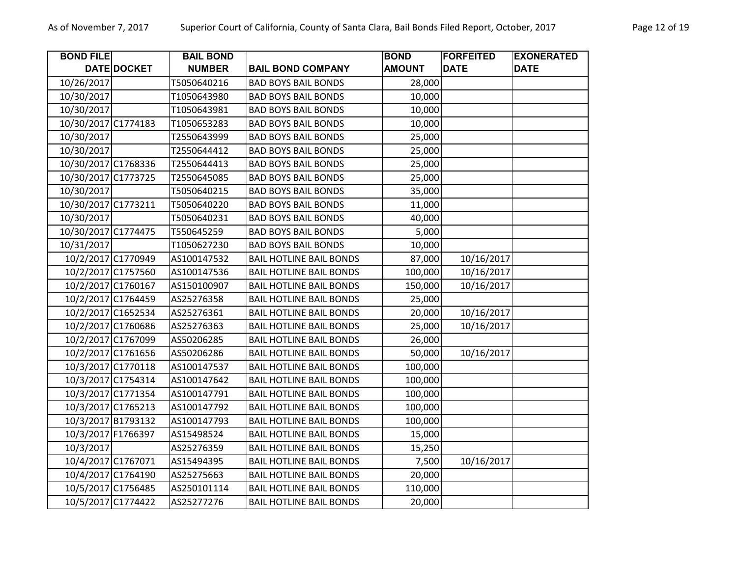| <b>BOND FILE</b>    | DATE DOCKET        | <b>BAIL BOND</b><br><b>NUMBER</b> | <b>BAIL BOND COMPANY</b>       | <b>BOND</b><br><b>AMOUNT</b> | <b>FORFEITED</b><br><b>DATE</b> | <b>EXONERATED</b><br><b>DATE</b> |
|---------------------|--------------------|-----------------------------------|--------------------------------|------------------------------|---------------------------------|----------------------------------|
| 10/26/2017          |                    | T5050640216                       | <b>BAD BOYS BAIL BONDS</b>     | 28,000                       |                                 |                                  |
| 10/30/2017          |                    | T1050643980                       | <b>BAD BOYS BAIL BONDS</b>     | 10,000                       |                                 |                                  |
| 10/30/2017          |                    | T1050643981                       | <b>BAD BOYS BAIL BONDS</b>     | 10,000                       |                                 |                                  |
| 10/30/2017 C1774183 |                    | T1050653283                       | <b>BAD BOYS BAIL BONDS</b>     | 10,000                       |                                 |                                  |
| 10/30/2017          |                    | T2550643999                       | <b>BAD BOYS BAIL BONDS</b>     | 25,000                       |                                 |                                  |
| 10/30/2017          |                    | T2550644412                       | <b>BAD BOYS BAIL BONDS</b>     | 25,000                       |                                 |                                  |
| 10/30/2017 C1768336 |                    | T2550644413                       | <b>BAD BOYS BAIL BONDS</b>     | 25,000                       |                                 |                                  |
| 10/30/2017 C1773725 |                    | T2550645085                       | <b>BAD BOYS BAIL BONDS</b>     | 25,000                       |                                 |                                  |
| 10/30/2017          |                    | T5050640215                       | <b>BAD BOYS BAIL BONDS</b>     | 35,000                       |                                 |                                  |
| 10/30/2017 C1773211 |                    | T5050640220                       | <b>BAD BOYS BAIL BONDS</b>     | 11,000                       |                                 |                                  |
| 10/30/2017          |                    | T5050640231                       | <b>BAD BOYS BAIL BONDS</b>     | 40,000                       |                                 |                                  |
| 10/30/2017 C1774475 |                    | T550645259                        | <b>BAD BOYS BAIL BONDS</b>     | 5,000                        |                                 |                                  |
| 10/31/2017          |                    | T1050627230                       | <b>BAD BOYS BAIL BONDS</b>     | 10,000                       |                                 |                                  |
|                     | 10/2/2017 C1770949 | AS100147532                       | <b>BAIL HOTLINE BAIL BONDS</b> | 87,000                       | 10/16/2017                      |                                  |
|                     | 10/2/2017 C1757560 | AS100147536                       | <b>BAIL HOTLINE BAIL BONDS</b> | 100,000                      | 10/16/2017                      |                                  |
|                     | 10/2/2017 C1760167 | AS150100907                       | <b>BAIL HOTLINE BAIL BONDS</b> | 150,000                      | 10/16/2017                      |                                  |
|                     | 10/2/2017 C1764459 | AS25276358                        | <b>BAIL HOTLINE BAIL BONDS</b> | 25,000                       |                                 |                                  |
|                     | 10/2/2017 C1652534 | AS25276361                        | <b>BAIL HOTLINE BAIL BONDS</b> | 20,000                       | 10/16/2017                      |                                  |
|                     | 10/2/2017 C1760686 | AS25276363                        | <b>BAIL HOTLINE BAIL BONDS</b> | 25,000                       | 10/16/2017                      |                                  |
|                     | 10/2/2017 C1767099 | AS50206285                        | <b>BAIL HOTLINE BAIL BONDS</b> | 26,000                       |                                 |                                  |
|                     | 10/2/2017 C1761656 | AS50206286                        | <b>BAIL HOTLINE BAIL BONDS</b> | 50,000                       | 10/16/2017                      |                                  |
|                     | 10/3/2017 C1770118 | AS100147537                       | <b>BAIL HOTLINE BAIL BONDS</b> | 100,000                      |                                 |                                  |
|                     | 10/3/2017 C1754314 | AS100147642                       | <b>BAIL HOTLINE BAIL BONDS</b> | 100,000                      |                                 |                                  |
|                     | 10/3/2017 C1771354 | AS100147791                       | <b>BAIL HOTLINE BAIL BONDS</b> | 100,000                      |                                 |                                  |
|                     | 10/3/2017 C1765213 | AS100147792                       | <b>BAIL HOTLINE BAIL BONDS</b> | 100,000                      |                                 |                                  |
|                     | 10/3/2017 B1793132 | AS100147793                       | <b>BAIL HOTLINE BAIL BONDS</b> | 100,000                      |                                 |                                  |
|                     | 10/3/2017 F1766397 | AS15498524                        | <b>BAIL HOTLINE BAIL BONDS</b> | 15,000                       |                                 |                                  |
| 10/3/2017           |                    | AS25276359                        | <b>BAIL HOTLINE BAIL BONDS</b> | 15,250                       |                                 |                                  |
|                     | 10/4/2017 C1767071 | AS15494395                        | <b>BAIL HOTLINE BAIL BONDS</b> | 7,500                        | 10/16/2017                      |                                  |
|                     | 10/4/2017 C1764190 | AS25275663                        | <b>BAIL HOTLINE BAIL BONDS</b> | 20,000                       |                                 |                                  |
|                     | 10/5/2017 C1756485 | AS250101114                       | <b>BAIL HOTLINE BAIL BONDS</b> | 110,000                      |                                 |                                  |
|                     | 10/5/2017 C1774422 | AS25277276                        | <b>BAIL HOTLINE BAIL BONDS</b> | 20,000                       |                                 |                                  |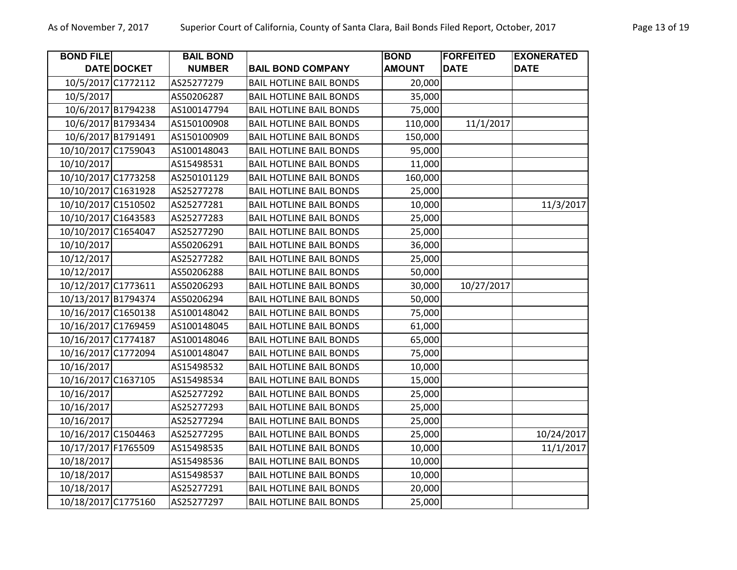| <b>BOND FILE</b>    |                    | <b>BAIL BOND</b> |                                | <b>BOND</b>   | <b>FORFEITED</b> | <b>EXONERATED</b> |
|---------------------|--------------------|------------------|--------------------------------|---------------|------------------|-------------------|
|                     | DATE DOCKET        | <b>NUMBER</b>    | <b>BAIL BOND COMPANY</b>       | <b>AMOUNT</b> | <b>DATE</b>      | <b>DATE</b>       |
|                     | 10/5/2017 C1772112 | AS25277279       | <b>BAIL HOTLINE BAIL BONDS</b> | 20,000        |                  |                   |
| 10/5/2017           |                    | AS50206287       | <b>BAIL HOTLINE BAIL BONDS</b> | 35,000        |                  |                   |
|                     | 10/6/2017 B1794238 | AS100147794      | <b>BAIL HOTLINE BAIL BONDS</b> | 75,000        |                  |                   |
| 10/6/2017 B1793434  |                    | AS150100908      | <b>BAIL HOTLINE BAIL BONDS</b> | 110,000       | 11/1/2017        |                   |
| 10/6/2017 B1791491  |                    | AS150100909      | <b>BAIL HOTLINE BAIL BONDS</b> | 150,000       |                  |                   |
| 10/10/2017 C1759043 |                    | AS100148043      | <b>BAIL HOTLINE BAIL BONDS</b> | 95,000        |                  |                   |
| 10/10/2017          |                    | AS15498531       | <b>BAIL HOTLINE BAIL BONDS</b> | 11,000        |                  |                   |
| 10/10/2017 C1773258 |                    | AS250101129      | <b>BAIL HOTLINE BAIL BONDS</b> | 160,000       |                  |                   |
| 10/10/2017 C1631928 |                    | AS25277278       | <b>BAIL HOTLINE BAIL BONDS</b> | 25,000        |                  |                   |
| 10/10/2017 C1510502 |                    | AS25277281       | <b>BAIL HOTLINE BAIL BONDS</b> | 10,000        |                  | 11/3/2017         |
| 10/10/2017 C1643583 |                    | AS25277283       | <b>BAIL HOTLINE BAIL BONDS</b> | 25,000        |                  |                   |
| 10/10/2017 C1654047 |                    | AS25277290       | <b>BAIL HOTLINE BAIL BONDS</b> | 25,000        |                  |                   |
| 10/10/2017          |                    | AS50206291       | <b>BAIL HOTLINE BAIL BONDS</b> | 36,000        |                  |                   |
| 10/12/2017          |                    | AS25277282       | <b>BAIL HOTLINE BAIL BONDS</b> | 25,000        |                  |                   |
| 10/12/2017          |                    | AS50206288       | <b>BAIL HOTLINE BAIL BONDS</b> | 50,000        |                  |                   |
| 10/12/2017 C1773611 |                    | AS50206293       | <b>BAIL HOTLINE BAIL BONDS</b> | 30,000        | 10/27/2017       |                   |
| 10/13/2017 B1794374 |                    | AS50206294       | <b>BAIL HOTLINE BAIL BONDS</b> | 50,000        |                  |                   |
| 10/16/2017 C1650138 |                    | AS100148042      | <b>BAIL HOTLINE BAIL BONDS</b> | 75,000        |                  |                   |
| 10/16/2017 C1769459 |                    | AS100148045      | <b>BAIL HOTLINE BAIL BONDS</b> | 61,000        |                  |                   |
| 10/16/2017 C1774187 |                    | AS100148046      | <b>BAIL HOTLINE BAIL BONDS</b> | 65,000        |                  |                   |
| 10/16/2017 C1772094 |                    | AS100148047      | <b>BAIL HOTLINE BAIL BONDS</b> | 75,000        |                  |                   |
| 10/16/2017          |                    | AS15498532       | <b>BAIL HOTLINE BAIL BONDS</b> | 10,000        |                  |                   |
| 10/16/2017 C1637105 |                    | AS15498534       | <b>BAIL HOTLINE BAIL BONDS</b> | 15,000        |                  |                   |
| 10/16/2017          |                    | AS25277292       | <b>BAIL HOTLINE BAIL BONDS</b> | 25,000        |                  |                   |
| 10/16/2017          |                    | AS25277293       | <b>BAIL HOTLINE BAIL BONDS</b> | 25,000        |                  |                   |
| 10/16/2017          |                    | AS25277294       | <b>BAIL HOTLINE BAIL BONDS</b> | 25,000        |                  |                   |
| 10/16/2017 C1504463 |                    | AS25277295       | <b>BAIL HOTLINE BAIL BONDS</b> | 25,000        |                  | 10/24/2017        |
| 10/17/2017 F1765509 |                    | AS15498535       | <b>BAIL HOTLINE BAIL BONDS</b> | 10,000        |                  | 11/1/2017         |
| 10/18/2017          |                    | AS15498536       | <b>BAIL HOTLINE BAIL BONDS</b> | 10,000        |                  |                   |
| 10/18/2017          |                    | AS15498537       | <b>BAIL HOTLINE BAIL BONDS</b> | 10,000        |                  |                   |
| 10/18/2017          |                    | AS25277291       | <b>BAIL HOTLINE BAIL BONDS</b> | 20,000        |                  |                   |
| 10/18/2017 C1775160 |                    | AS25277297       | <b>BAIL HOTLINE BAIL BONDS</b> | 25,000        |                  |                   |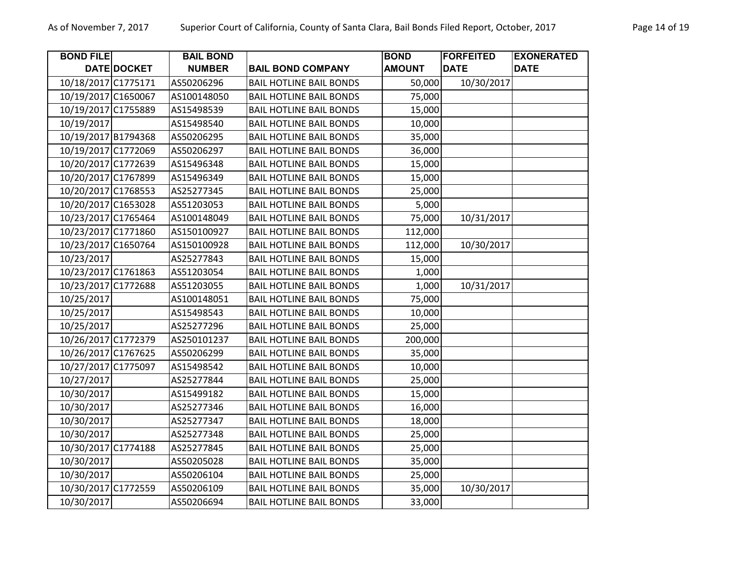| <b>BOND FILE</b>    |             | <b>BAIL BOND</b> |                                | <b>BOND</b>   | <b>FORFEITED</b> | <b>EXONERATED</b> |
|---------------------|-------------|------------------|--------------------------------|---------------|------------------|-------------------|
|                     | DATE DOCKET | <b>NUMBER</b>    | <b>BAIL BOND COMPANY</b>       | <b>AMOUNT</b> | <b>DATE</b>      | <b>DATE</b>       |
| 10/18/2017 C1775171 |             | AS50206296       | <b>BAIL HOTLINE BAIL BONDS</b> | 50,000        | 10/30/2017       |                   |
| 10/19/2017 C1650067 |             | AS100148050      | <b>BAIL HOTLINE BAIL BONDS</b> | 75,000        |                  |                   |
| 10/19/2017 C1755889 |             | AS15498539       | <b>BAIL HOTLINE BAIL BONDS</b> | 15,000        |                  |                   |
| 10/19/2017          |             | AS15498540       | <b>BAIL HOTLINE BAIL BONDS</b> | 10,000        |                  |                   |
| 10/19/2017 B1794368 |             | AS50206295       | <b>BAIL HOTLINE BAIL BONDS</b> | 35,000        |                  |                   |
| 10/19/2017 C1772069 |             | AS50206297       | <b>BAIL HOTLINE BAIL BONDS</b> | 36,000        |                  |                   |
| 10/20/2017 C1772639 |             | AS15496348       | <b>BAIL HOTLINE BAIL BONDS</b> | 15,000        |                  |                   |
| 10/20/2017 C1767899 |             | AS15496349       | <b>BAIL HOTLINE BAIL BONDS</b> | 15,000        |                  |                   |
| 10/20/2017 C1768553 |             | AS25277345       | <b>BAIL HOTLINE BAIL BONDS</b> | 25,000        |                  |                   |
| 10/20/2017 C1653028 |             | AS51203053       | <b>BAIL HOTLINE BAIL BONDS</b> | 5,000         |                  |                   |
| 10/23/2017 C1765464 |             | AS100148049      | <b>BAIL HOTLINE BAIL BONDS</b> | 75,000        | 10/31/2017       |                   |
| 10/23/2017 C1771860 |             | AS150100927      | <b>BAIL HOTLINE BAIL BONDS</b> | 112,000       |                  |                   |
| 10/23/2017 C1650764 |             | AS150100928      | <b>BAIL HOTLINE BAIL BONDS</b> | 112,000       | 10/30/2017       |                   |
| 10/23/2017          |             | AS25277843       | <b>BAIL HOTLINE BAIL BONDS</b> | 15,000        |                  |                   |
| 10/23/2017 C1761863 |             | AS51203054       | <b>BAIL HOTLINE BAIL BONDS</b> | 1,000         |                  |                   |
| 10/23/2017 C1772688 |             | AS51203055       | <b>BAIL HOTLINE BAIL BONDS</b> | 1,000         | 10/31/2017       |                   |
| 10/25/2017          |             | AS100148051      | <b>BAIL HOTLINE BAIL BONDS</b> | 75,000        |                  |                   |
| 10/25/2017          |             | AS15498543       | <b>BAIL HOTLINE BAIL BONDS</b> | 10,000        |                  |                   |
| 10/25/2017          |             | AS25277296       | <b>BAIL HOTLINE BAIL BONDS</b> | 25,000        |                  |                   |
| 10/26/2017 C1772379 |             | AS250101237      | <b>BAIL HOTLINE BAIL BONDS</b> | 200,000       |                  |                   |
| 10/26/2017 C1767625 |             | AS50206299       | <b>BAIL HOTLINE BAIL BONDS</b> | 35,000        |                  |                   |
| 10/27/2017 C1775097 |             | AS15498542       | <b>BAIL HOTLINE BAIL BONDS</b> | 10,000        |                  |                   |
| 10/27/2017          |             | AS25277844       | <b>BAIL HOTLINE BAIL BONDS</b> | 25,000        |                  |                   |
| 10/30/2017          |             | AS15499182       | <b>BAIL HOTLINE BAIL BONDS</b> | 15,000        |                  |                   |
| 10/30/2017          |             | AS25277346       | <b>BAIL HOTLINE BAIL BONDS</b> | 16,000        |                  |                   |
| 10/30/2017          |             | AS25277347       | <b>BAIL HOTLINE BAIL BONDS</b> | 18,000        |                  |                   |
| 10/30/2017          |             | AS25277348       | <b>BAIL HOTLINE BAIL BONDS</b> | 25,000        |                  |                   |
| 10/30/2017 C1774188 |             | AS25277845       | <b>BAIL HOTLINE BAIL BONDS</b> | 25,000        |                  |                   |
| 10/30/2017          |             | AS50205028       | <b>BAIL HOTLINE BAIL BONDS</b> | 35,000        |                  |                   |
| 10/30/2017          |             | AS50206104       | <b>BAIL HOTLINE BAIL BONDS</b> | 25,000        |                  |                   |
| 10/30/2017 C1772559 |             | AS50206109       | <b>BAIL HOTLINE BAIL BONDS</b> | 35,000        | 10/30/2017       |                   |
| 10/30/2017          |             | AS50206694       | <b>BAIL HOTLINE BAIL BONDS</b> | 33,000        |                  |                   |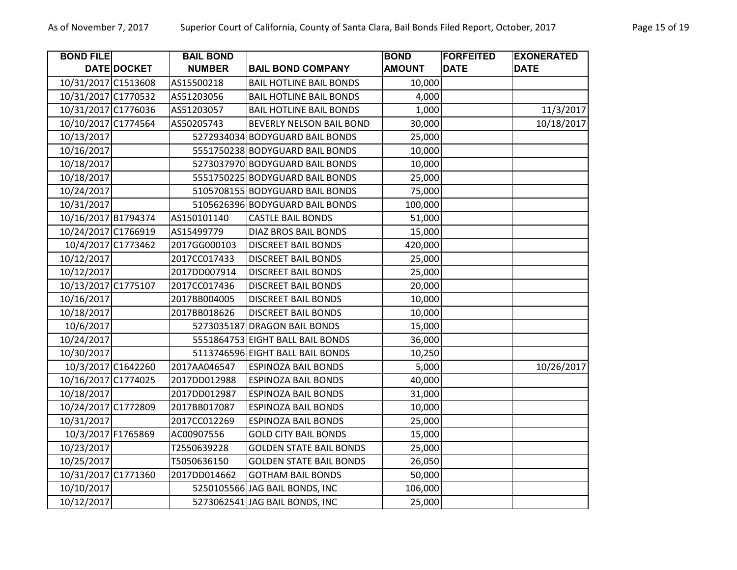| <b>BOND FILE</b>    |                    | <b>BAIL BOND</b> |                                  | <b>BOND</b>   | <b>FORFEITED</b> | <b>EXONERATED</b> |
|---------------------|--------------------|------------------|----------------------------------|---------------|------------------|-------------------|
|                     | DATE DOCKET        | <b>NUMBER</b>    | <b>BAIL BOND COMPANY</b>         | <b>AMOUNT</b> | <b>DATE</b>      | <b>DATE</b>       |
| 10/31/2017 C1513608 |                    | AS15500218       | <b>BAIL HOTLINE BAIL BONDS</b>   | 10,000        |                  |                   |
| 10/31/2017 C1770532 |                    | AS51203056       | <b>BAIL HOTLINE BAIL BONDS</b>   | 4,000         |                  |                   |
| 10/31/2017 C1776036 |                    | AS51203057       | <b>BAIL HOTLINE BAIL BONDS</b>   | 1,000         |                  | 11/3/2017         |
| 10/10/2017 C1774564 |                    | AS50205743       | BEVERLY NELSON BAIL BOND         | 30,000        |                  | 10/18/2017        |
| 10/13/2017          |                    |                  | 5272934034 BODYGUARD BAIL BONDS  | 25,000        |                  |                   |
| 10/16/2017          |                    |                  | 5551750238 BODYGUARD BAIL BONDS  | 10,000        |                  |                   |
| 10/18/2017          |                    |                  | 5273037970 BODYGUARD BAIL BONDS  | 10,000        |                  |                   |
| 10/18/2017          |                    |                  | 5551750225 BODYGUARD BAIL BONDS  | 25,000        |                  |                   |
| 10/24/2017          |                    |                  | 5105708155 BODYGUARD BAIL BONDS  | 75,000        |                  |                   |
| 10/31/2017          |                    |                  | 5105626396 BODYGUARD BAIL BONDS  | 100,000       |                  |                   |
| 10/16/2017 B1794374 |                    | AS150101140      | <b>CASTLE BAIL BONDS</b>         | 51,000        |                  |                   |
| 10/24/2017 C1766919 |                    | AS15499779       | <b>DIAZ BROS BAIL BONDS</b>      | 15,000        |                  |                   |
|                     | 10/4/2017 C1773462 | 2017GG000103     | <b>DISCREET BAIL BONDS</b>       | 420,000       |                  |                   |
| 10/12/2017          |                    | 2017CC017433     | <b>DISCREET BAIL BONDS</b>       | 25,000        |                  |                   |
| 10/12/2017          |                    | 2017DD007914     | <b>DISCREET BAIL BONDS</b>       | 25,000        |                  |                   |
| 10/13/2017 C1775107 |                    | 2017CC017436     | <b>DISCREET BAIL BONDS</b>       | 20,000        |                  |                   |
| 10/16/2017          |                    | 2017BB004005     | <b>DISCREET BAIL BONDS</b>       | 10,000        |                  |                   |
| 10/18/2017          |                    | 2017BB018626     | <b>DISCREET BAIL BONDS</b>       | 10,000        |                  |                   |
| 10/6/2017           |                    | 5273035187       | <b>DRAGON BAIL BONDS</b>         | 15,000        |                  |                   |
| 10/24/2017          |                    |                  | 5551864753 EIGHT BALL BAIL BONDS | 36,000        |                  |                   |
| 10/30/2017          |                    |                  | 5113746596 EIGHT BALL BAIL BONDS | 10,250        |                  |                   |
|                     | 10/3/2017 C1642260 | 2017AA046547     | <b>ESPINOZA BAIL BONDS</b>       | 5,000         |                  | 10/26/2017        |
| 10/16/2017 C1774025 |                    | 2017DD012988     | <b>ESPINOZA BAIL BONDS</b>       | 40,000        |                  |                   |
| 10/18/2017          |                    | 2017DD012987     | <b>ESPINOZA BAIL BONDS</b>       | 31,000        |                  |                   |
| 10/24/2017 C1772809 |                    | 2017BB017087     | <b>ESPINOZA BAIL BONDS</b>       | 10,000        |                  |                   |
| 10/31/2017          |                    | 2017CC012269     | <b>ESPINOZA BAIL BONDS</b>       | 25,000        |                  |                   |
| 10/3/2017 F1765869  |                    | AC00907556       | <b>GOLD CITY BAIL BONDS</b>      | 15,000        |                  |                   |
| 10/23/2017          |                    | T2550639228      | <b>GOLDEN STATE BAIL BONDS</b>   | 25,000        |                  |                   |
| 10/25/2017          |                    | T5050636150      | <b>GOLDEN STATE BAIL BONDS</b>   | 26,050        |                  |                   |
| 10/31/2017 C1771360 |                    | 2017DD014662     | <b>GOTHAM BAIL BONDS</b>         | 50,000        |                  |                   |
| 10/10/2017          |                    |                  | 5250105566 JAG BAIL BONDS, INC   | 106,000       |                  |                   |
| 10/12/2017          |                    |                  | 5273062541 JAG BAIL BONDS, INC   | 25,000        |                  |                   |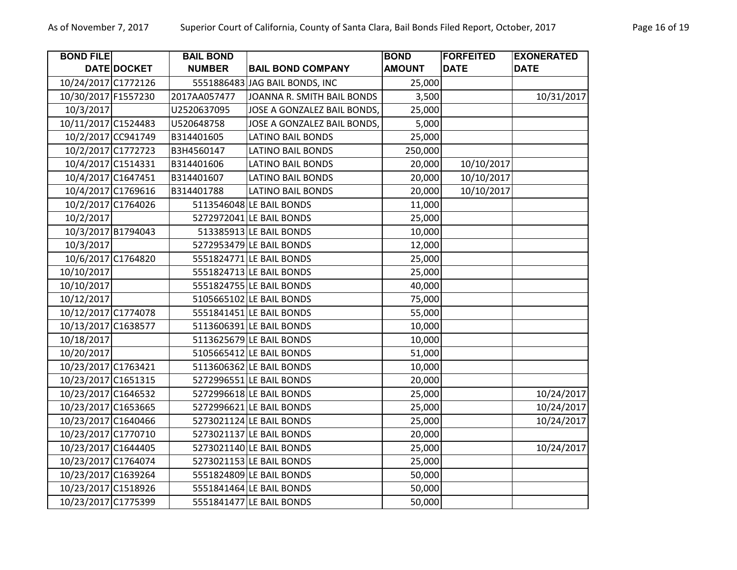| <b>BOND FILE</b>    |                    | <b>BAIL BOND</b> |                                | <b>BOND</b>   | <b>FORFEITED</b> | <b>EXONERATED</b> |
|---------------------|--------------------|------------------|--------------------------------|---------------|------------------|-------------------|
|                     | DATE DOCKET        | <b>NUMBER</b>    | <b>BAIL BOND COMPANY</b>       | <b>AMOUNT</b> | <b>DATE</b>      | <b>DATE</b>       |
| 10/24/2017 C1772126 |                    |                  | 5551886483 JAG BAIL BONDS, INC | 25,000        |                  |                   |
| 10/30/2017 F1557230 |                    | 2017AA057477     | JOANNA R. SMITH BAIL BONDS     | 3,500         |                  | 10/31/2017        |
| 10/3/2017           |                    | U2520637095      | JOSE A GONZALEZ BAIL BONDS,    | 25,000        |                  |                   |
| 10/11/2017 C1524483 |                    | U520648758       | JOSE A GONZALEZ BAIL BONDS,    | 5,000         |                  |                   |
|                     | 10/2/2017 CC941749 | B314401605       | <b>LATINO BAIL BONDS</b>       | 25,000        |                  |                   |
| 10/2/2017 C1772723  |                    | B3H4560147       | <b>LATINO BAIL BONDS</b>       | 250,000       |                  |                   |
| 10/4/2017 C1514331  |                    | B314401606       | <b>LATINO BAIL BONDS</b>       | 20,000        | 10/10/2017       |                   |
| 10/4/2017 C1647451  |                    | B314401607       | <b>LATINO BAIL BONDS</b>       | 20,000        | 10/10/2017       |                   |
|                     | 10/4/2017 C1769616 | B314401788       | <b>LATINO BAIL BONDS</b>       | 20,000        | 10/10/2017       |                   |
|                     | 10/2/2017 C1764026 |                  | 5113546048 LE BAIL BONDS       | 11,000        |                  |                   |
| 10/2/2017           |                    |                  | 5272972041 LE BAIL BONDS       | 25,000        |                  |                   |
| 10/3/2017 B1794043  |                    |                  | 513385913 LE BAIL BONDS        | 10,000        |                  |                   |
| 10/3/2017           |                    |                  | 5272953479 LE BAIL BONDS       | 12,000        |                  |                   |
| 10/6/2017 C1764820  |                    |                  | 5551824771 LE BAIL BONDS       | 25,000        |                  |                   |
| 10/10/2017          |                    |                  | 5551824713 LE BAIL BONDS       | 25,000        |                  |                   |
| 10/10/2017          |                    |                  | 5551824755 LE BAIL BONDS       | 40,000        |                  |                   |
| 10/12/2017          |                    |                  | 5105665102 LE BAIL BONDS       | 75,000        |                  |                   |
| 10/12/2017 C1774078 |                    |                  | 5551841451 LE BAIL BONDS       | 55,000        |                  |                   |
| 10/13/2017 C1638577 |                    |                  | 5113606391 LE BAIL BONDS       | 10,000        |                  |                   |
| 10/18/2017          |                    |                  | 5113625679 LE BAIL BONDS       | 10,000        |                  |                   |
| 10/20/2017          |                    |                  | 5105665412 LE BAIL BONDS       | 51,000        |                  |                   |
| 10/23/2017 C1763421 |                    |                  | 5113606362 LE BAIL BONDS       | 10,000        |                  |                   |
| 10/23/2017 C1651315 |                    |                  | 5272996551 LE BAIL BONDS       | 20,000        |                  |                   |
| 10/23/2017 C1646532 |                    |                  | 5272996618 LE BAIL BONDS       | 25,000        |                  | 10/24/2017        |
| 10/23/2017 C1653665 |                    |                  | 5272996621 LE BAIL BONDS       | 25,000        |                  | 10/24/2017        |
| 10/23/2017 C1640466 |                    |                  | 5273021124 LE BAIL BONDS       | 25,000        |                  | 10/24/2017        |
| 10/23/2017 C1770710 |                    |                  | 5273021137 LE BAIL BONDS       | 20,000        |                  |                   |
| 10/23/2017 C1644405 |                    |                  | 5273021140 LE BAIL BONDS       | 25,000        |                  | 10/24/2017        |
| 10/23/2017 C1764074 |                    |                  | 5273021153 LE BAIL BONDS       | 25,000        |                  |                   |
| 10/23/2017 C1639264 |                    |                  | 5551824809 LE BAIL BONDS       | 50,000        |                  |                   |
| 10/23/2017 C1518926 |                    |                  | 5551841464 LE BAIL BONDS       | 50,000        |                  |                   |
| 10/23/2017 C1775399 |                    |                  | 5551841477 LE BAIL BONDS       | 50,000        |                  |                   |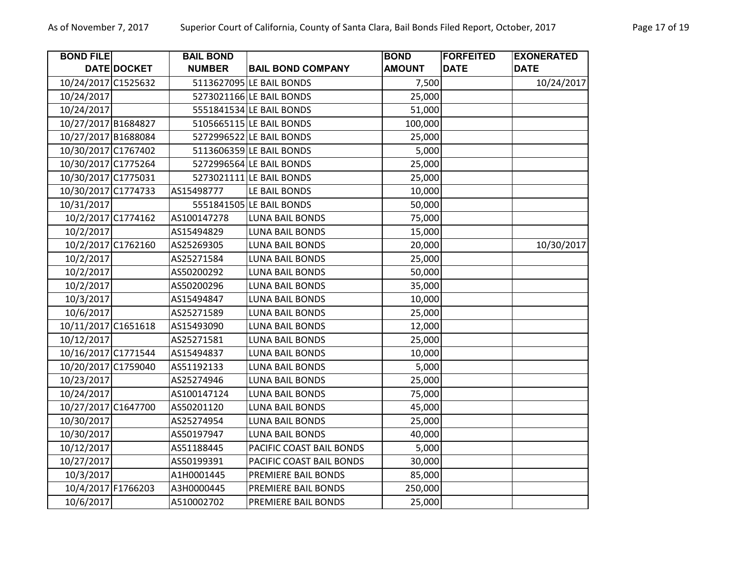| <b>BOND FILE</b>    |                    | <b>BAIL BOND</b> |                          | <b>BOND</b>   | <b>FORFEITED</b> | <b>EXONERATED</b> |
|---------------------|--------------------|------------------|--------------------------|---------------|------------------|-------------------|
|                     | DATE DOCKET        | <b>NUMBER</b>    | <b>BAIL BOND COMPANY</b> | <b>AMOUNT</b> | <b>DATE</b>      | <b>DATE</b>       |
| 10/24/2017 C1525632 |                    |                  | 5113627095 LE BAIL BONDS | 7,500         |                  | 10/24/2017        |
| 10/24/2017          |                    |                  | 5273021166 LE BAIL BONDS | 25,000        |                  |                   |
| 10/24/2017          |                    |                  | 5551841534 LE BAIL BONDS | 51,000        |                  |                   |
| 10/27/2017 B1684827 |                    |                  | 5105665115 LE BAIL BONDS | 100,000       |                  |                   |
| 10/27/2017 B1688084 |                    |                  | 5272996522 LE BAIL BONDS | 25,000        |                  |                   |
| 10/30/2017 C1767402 |                    |                  | 5113606359 LE BAIL BONDS | 5,000         |                  |                   |
| 10/30/2017 C1775264 |                    |                  | 5272996564 LE BAIL BONDS | 25,000        |                  |                   |
| 10/30/2017 C1775031 |                    |                  | 5273021111 LE BAIL BONDS | 25,000        |                  |                   |
| 10/30/2017 C1774733 |                    | AS15498777       | LE BAIL BONDS            | 10,000        |                  |                   |
| 10/31/2017          |                    |                  | 5551841505 LE BAIL BONDS | 50,000        |                  |                   |
|                     | 10/2/2017 C1774162 | AS100147278      | <b>LUNA BAIL BONDS</b>   | 75,000        |                  |                   |
| 10/2/2017           |                    | AS15494829       | <b>LUNA BAIL BONDS</b>   | 15,000        |                  |                   |
|                     | 10/2/2017 C1762160 | AS25269305       | <b>LUNA BAIL BONDS</b>   | 20,000        |                  | 10/30/2017        |
| 10/2/2017           |                    | AS25271584       | <b>LUNA BAIL BONDS</b>   | 25,000        |                  |                   |
| 10/2/2017           |                    | AS50200292       | LUNA BAIL BONDS          | 50,000        |                  |                   |
| 10/2/2017           |                    | AS50200296       | LUNA BAIL BONDS          | 35,000        |                  |                   |
| 10/3/2017           |                    | AS15494847       | LUNA BAIL BONDS          | 10,000        |                  |                   |
| 10/6/2017           |                    | AS25271589       | <b>LUNA BAIL BONDS</b>   | 25,000        |                  |                   |
| 10/11/2017 C1651618 |                    | AS15493090       | LUNA BAIL BONDS          | 12,000        |                  |                   |
| 10/12/2017          |                    | AS25271581       | <b>LUNA BAIL BONDS</b>   | 25,000        |                  |                   |
| 10/16/2017 C1771544 |                    | AS15494837       | LUNA BAIL BONDS          | 10,000        |                  |                   |
| 10/20/2017 C1759040 |                    | AS51192133       | <b>LUNA BAIL BONDS</b>   | 5,000         |                  |                   |
| 10/23/2017          |                    | AS25274946       | LUNA BAIL BONDS          | 25,000        |                  |                   |
| 10/24/2017          |                    | AS100147124      | <b>LUNA BAIL BONDS</b>   | 75,000        |                  |                   |
| 10/27/2017 C1647700 |                    | AS50201120       | <b>LUNA BAIL BONDS</b>   | 45,000        |                  |                   |
| 10/30/2017          |                    | AS25274954       | <b>LUNA BAIL BONDS</b>   | 25,000        |                  |                   |
| 10/30/2017          |                    | AS50197947       | <b>LUNA BAIL BONDS</b>   | 40,000        |                  |                   |
| 10/12/2017          |                    | AS51188445       | PACIFIC COAST BAIL BONDS | 5,000         |                  |                   |
| 10/27/2017          |                    | AS50199391       | PACIFIC COAST BAIL BONDS | 30,000        |                  |                   |
| 10/3/2017           |                    | A1H0001445       | PREMIERE BAIL BONDS      | 85,000        |                  |                   |
| 10/4/2017 F1766203  |                    | A3H0000445       | PREMIERE BAIL BONDS      | 250,000       |                  |                   |
| 10/6/2017           |                    | A510002702       | PREMIERE BAIL BONDS      | 25,000        |                  |                   |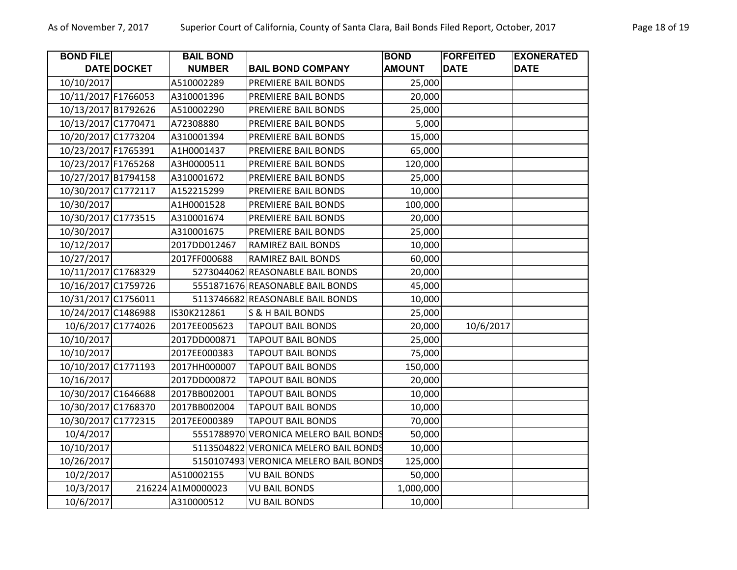| <b>BOND FILE</b>    |             | <b>BAIL BOND</b>  |                                       | <b>BOND</b>   | <b>FORFEITED</b> | <b>EXONERATED</b> |
|---------------------|-------------|-------------------|---------------------------------------|---------------|------------------|-------------------|
|                     | DATE DOCKET | <b>NUMBER</b>     | <b>BAIL BOND COMPANY</b>              | <b>AMOUNT</b> | <b>DATE</b>      | <b>DATE</b>       |
| 10/10/2017          |             | A510002289        | PREMIERE BAIL BONDS                   | 25,000        |                  |                   |
| 10/11/2017 F1766053 |             | A310001396        | PREMIERE BAIL BONDS                   | 20,000        |                  |                   |
| 10/13/2017 B1792626 |             | A510002290        | PREMIERE BAIL BONDS                   | 25,000        |                  |                   |
| 10/13/2017 C1770471 |             | A72308880         | PREMIERE BAIL BONDS                   | 5,000         |                  |                   |
| 10/20/2017 C1773204 |             | A310001394        | PREMIERE BAIL BONDS                   | 15,000        |                  |                   |
| 10/23/2017 F1765391 |             | A1H0001437        | PREMIERE BAIL BONDS                   | 65,000        |                  |                   |
| 10/23/2017 F1765268 |             | A3H0000511        | PREMIERE BAIL BONDS                   | 120,000       |                  |                   |
| 10/27/2017 B1794158 |             | A310001672        | PREMIERE BAIL BONDS                   | 25,000        |                  |                   |
| 10/30/2017 C1772117 |             | A152215299        | PREMIERE BAIL BONDS                   | 10,000        |                  |                   |
| 10/30/2017          |             | A1H0001528        | PREMIERE BAIL BONDS                   | 100,000       |                  |                   |
| 10/30/2017 C1773515 |             | A310001674        | PREMIERE BAIL BONDS                   | 20,000        |                  |                   |
| 10/30/2017          |             | A310001675        | PREMIERE BAIL BONDS                   | 25,000        |                  |                   |
| 10/12/2017          |             | 2017DD012467      | RAMIREZ BAIL BONDS                    | 10,000        |                  |                   |
| 10/27/2017          |             | 2017FF000688      | RAMIREZ BAIL BONDS                    | 60,000        |                  |                   |
| 10/11/2017 C1768329 |             |                   | 5273044062 REASONABLE BAIL BONDS      | 20,000        |                  |                   |
| 10/16/2017 C1759726 |             |                   | 5551871676 REASONABLE BAIL BONDS      | 45,000        |                  |                   |
| 10/31/2017 C1756011 |             |                   | 5113746682 REASONABLE BAIL BONDS      | 10,000        |                  |                   |
| 10/24/2017 C1486988 |             | IS30K212861       | S & H BAIL BONDS                      | 25,000        |                  |                   |
| 10/6/2017 C1774026  |             | 2017EE005623      | <b>TAPOUT BAIL BONDS</b>              | 20,000        | 10/6/2017        |                   |
| 10/10/2017          |             | 2017DD000871      | <b>TAPOUT BAIL BONDS</b>              | 25,000        |                  |                   |
| 10/10/2017          |             | 2017EE000383      | <b>TAPOUT BAIL BONDS</b>              | 75,000        |                  |                   |
| 10/10/2017 C1771193 |             | 2017HH000007      | <b>TAPOUT BAIL BONDS</b>              | 150,000       |                  |                   |
| 10/16/2017          |             | 2017DD000872      | <b>TAPOUT BAIL BONDS</b>              | 20,000        |                  |                   |
| 10/30/2017 C1646688 |             | 2017BB002001      | <b>TAPOUT BAIL BONDS</b>              | 10,000        |                  |                   |
| 10/30/2017 C1768370 |             | 2017BB002004      | <b>TAPOUT BAIL BONDS</b>              | 10,000        |                  |                   |
| 10/30/2017 C1772315 |             | 2017EE000389      | <b>TAPOUT BAIL BONDS</b>              | 70,000        |                  |                   |
| 10/4/2017           |             | 5551788970        | <b>VERONICA MELERO BAIL BONDS</b>     | 50,000        |                  |                   |
| 10/10/2017          |             |                   | 5113504822 VERONICA MELERO BAIL BONDS | 10,000        |                  |                   |
| 10/26/2017          |             |                   | 5150107493 VERONICA MELERO BAIL BONDS | 125,000       |                  |                   |
| 10/2/2017           |             | A510002155        | <b>VU BAIL BONDS</b>                  | 50,000        |                  |                   |
| 10/3/2017           |             | 216224 A1M0000023 | <b>VU BAIL BONDS</b>                  | 1,000,000     |                  |                   |
| 10/6/2017           |             | A310000512        | <b>VU BAIL BONDS</b>                  | 10,000        |                  |                   |